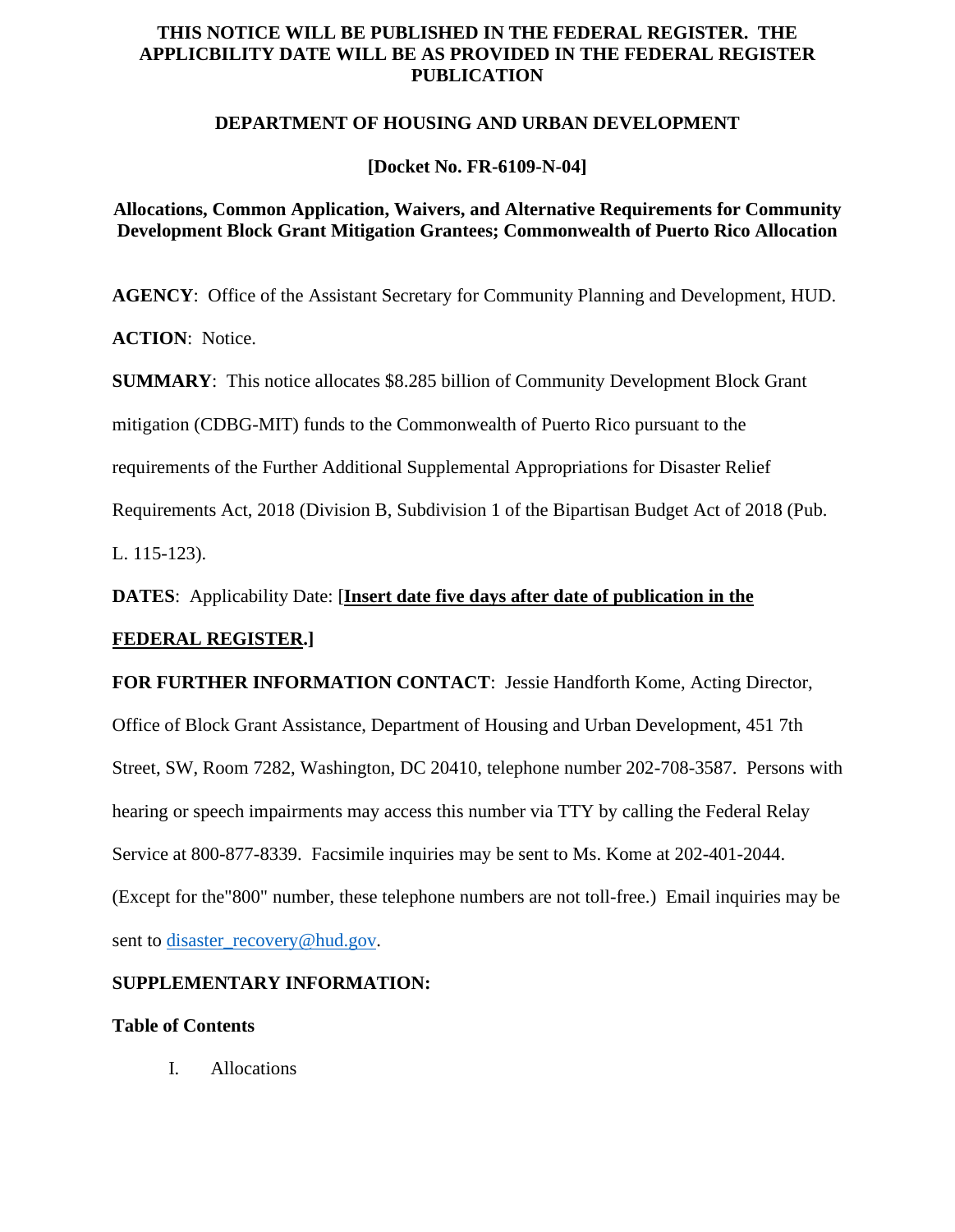# **THIS NOTICE WILL BE PUBLISHED IN THE FEDERAL REGISTER. THE APPLICBILITY DATE WILL BE AS PROVIDED IN THE FEDERAL REGISTER PUBLICATION**

### **DEPARTMENT OF HOUSING AND URBAN DEVELOPMENT**

## **[Docket No. FR-6109-N-04]**

# **Allocations, Common Application, Waivers, and Alternative Requirements for Community Development Block Grant Mitigation Grantees; Commonwealth of Puerto Rico Allocation**

**AGENCY**: Office of the Assistant Secretary for Community Planning and Development, HUD.

**ACTION**: Notice.

**SUMMARY**: This notice allocates \$8.285 billion of Community Development Block Grant

mitigation (CDBG-MIT) funds to the Commonwealth of Puerto Rico pursuant to the

requirements of the Further Additional Supplemental Appropriations for Disaster Relief

Requirements Act, 2018 (Division B, Subdivision 1 of the Bipartisan Budget Act of 2018 (Pub.

L. 115-123).

**DATES**: Applicability Date: [**Insert date five days after date of publication in the** 

# **FEDERAL REGISTER.]**

**FOR FURTHER INFORMATION CONTACT**: Jessie Handforth Kome, Acting Director,

Office of Block Grant Assistance, Department of Housing and Urban Development, 451 7th Street, SW, Room 7282, Washington, DC 20410, telephone number 202-708-3587. Persons with hearing or speech impairments may access this number via TTY by calling the Federal Relay Service at 800-877-8339. Facsimile inquiries may be sent to Ms. Kome at 202-401-2044. (Except for the"800" number, these telephone numbers are not toll-free.) Email inquiries may be sent to [disaster\\_recovery@hud.gov.](mailto:disaster_recovery@hud.gov)

# **SUPPLEMENTARY INFORMATION:**

# **Table of Contents**

I. Allocations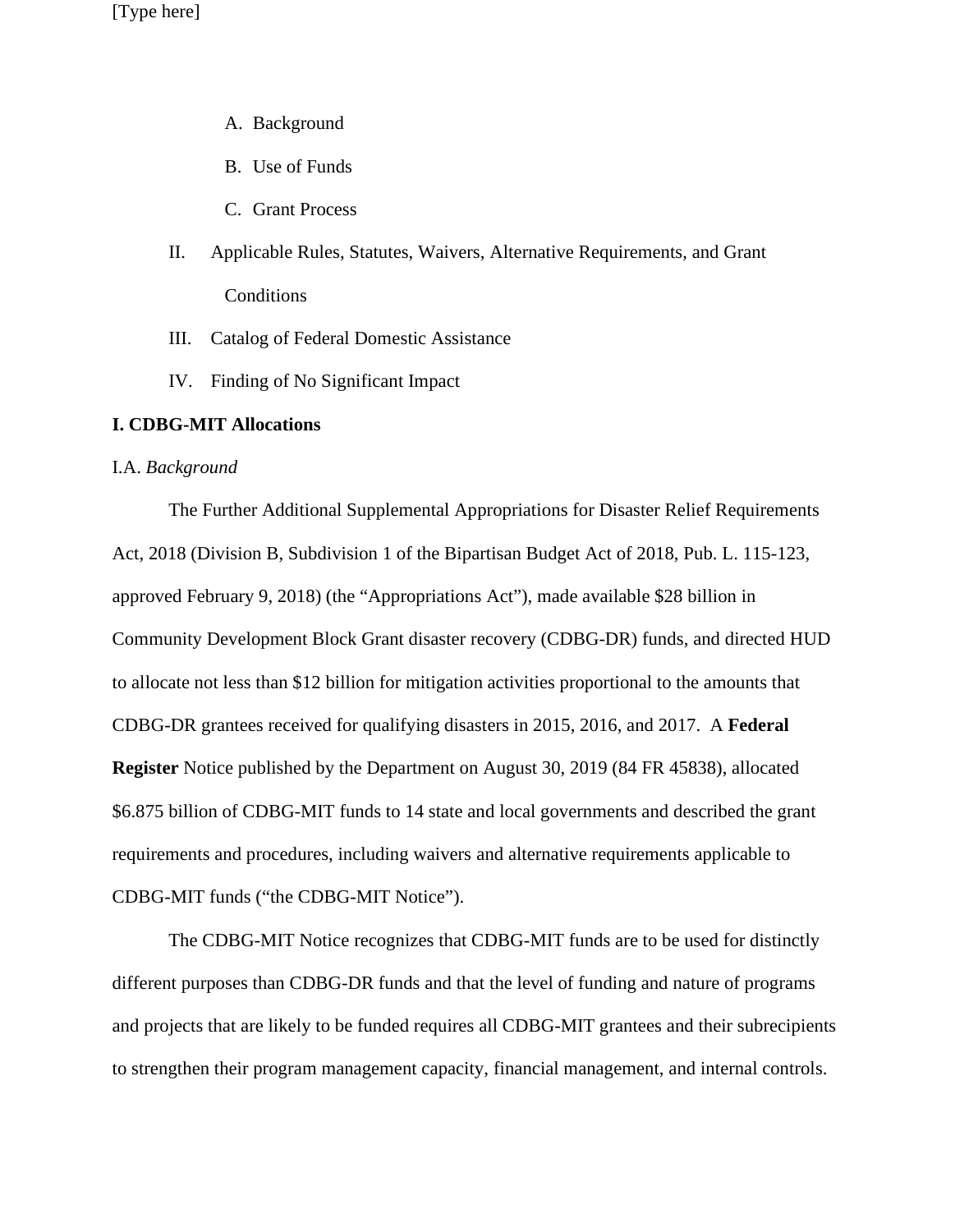- A. Background
- B. Use of Funds
- C. Grant Process
- II. Applicable Rules, Statutes, Waivers, Alternative Requirements, and Grant Conditions
- III. Catalog of Federal Domestic Assistance
- IV. Finding of No Significant Impact

### **I. CDBG-MIT Allocations**

#### I.A. *Background*

The Further Additional Supplemental Appropriations for Disaster Relief Requirements Act, 2018 (Division B, Subdivision 1 of the Bipartisan Budget Act of 2018, Pub. L. 115-123, approved February 9, 2018) (the "Appropriations Act"), made available \$28 billion in Community Development Block Grant disaster recovery (CDBG-DR) funds, and directed HUD to allocate not less than \$12 billion for mitigation activities proportional to the amounts that CDBG-DR grantees received for qualifying disasters in 2015, 2016, and 2017. A **Federal Register** Notice published by the Department on August 30, 2019 (84 FR 45838), allocated \$6.875 billion of CDBG-MIT funds to 14 state and local governments and described the grant requirements and procedures, including waivers and alternative requirements applicable to CDBG-MIT funds ("the CDBG-MIT Notice").

The CDBG-MIT Notice recognizes that CDBG-MIT funds are to be used for distinctly different purposes than CDBG-DR funds and that the level of funding and nature of programs and projects that are likely to be funded requires all CDBG-MIT grantees and their subrecipients to strengthen their program management capacity, financial management, and internal controls.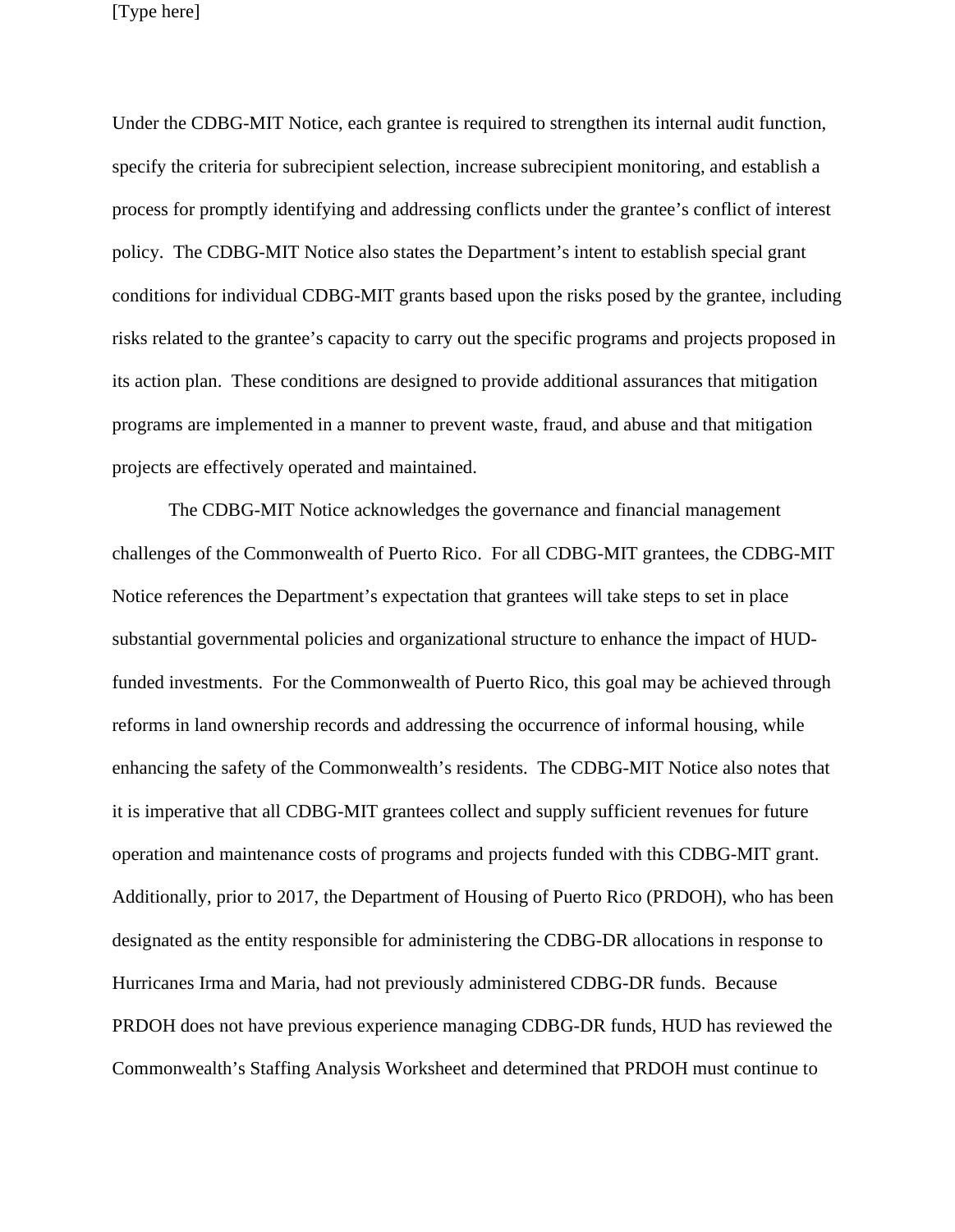Under the CDBG-MIT Notice, each grantee is required to strengthen its internal audit function, specify the criteria for subrecipient selection, increase subrecipient monitoring, and establish a process for promptly identifying and addressing conflicts under the grantee's conflict of interest policy. The CDBG-MIT Notice also states the Department's intent to establish special grant conditions for individual CDBG-MIT grants based upon the risks posed by the grantee, including risks related to the grantee's capacity to carry out the specific programs and projects proposed in its action plan. These conditions are designed to provide additional assurances that mitigation programs are implemented in a manner to prevent waste, fraud, and abuse and that mitigation projects are effectively operated and maintained.

The CDBG-MIT Notice acknowledges the governance and financial management challenges of the Commonwealth of Puerto Rico. For all CDBG-MIT grantees, the CDBG-MIT Notice references the Department's expectation that grantees will take steps to set in place substantial governmental policies and organizational structure to enhance the impact of HUDfunded investments. For the Commonwealth of Puerto Rico, this goal may be achieved through reforms in land ownership records and addressing the occurrence of informal housing, while enhancing the safety of the Commonwealth's residents. The CDBG-MIT Notice also notes that it is imperative that all CDBG-MIT grantees collect and supply sufficient revenues for future operation and maintenance costs of programs and projects funded with this CDBG-MIT grant. Additionally, prior to 2017, the Department of Housing of Puerto Rico (PRDOH), who has been designated as the entity responsible for administering the CDBG-DR allocations in response to Hurricanes Irma and Maria, had not previously administered CDBG-DR funds. Because PRDOH does not have previous experience managing CDBG-DR funds, HUD has reviewed the Commonwealth's Staffing Analysis Worksheet and determined that PRDOH must continue to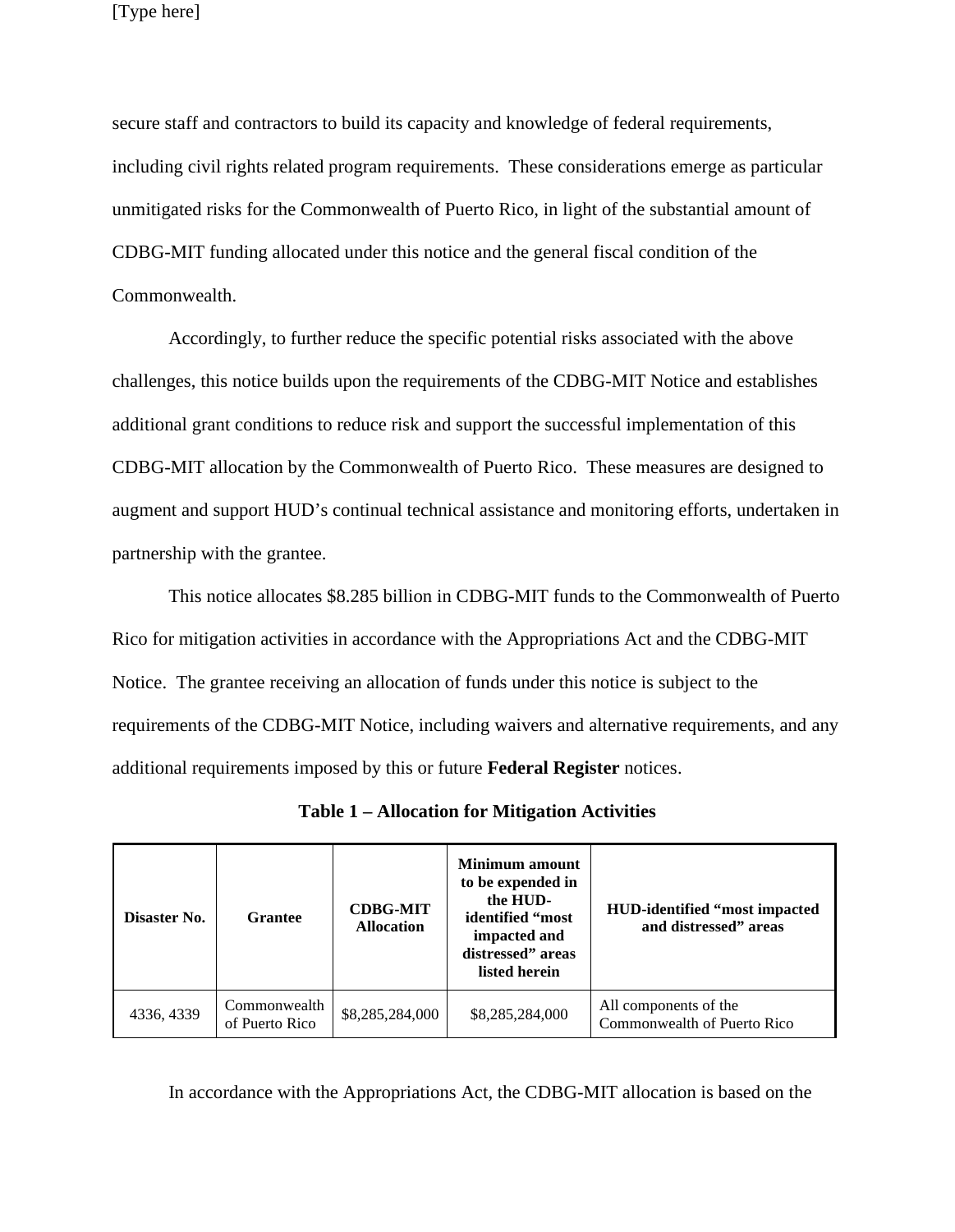secure staff and contractors to build its capacity and knowledge of federal requirements, including civil rights related program requirements. These considerations emerge as particular unmitigated risks for the Commonwealth of Puerto Rico, in light of the substantial amount of CDBG-MIT funding allocated under this notice and the general fiscal condition of the Commonwealth.

Accordingly, to further reduce the specific potential risks associated with the above challenges, this notice builds upon the requirements of the CDBG-MIT Notice and establishes additional grant conditions to reduce risk and support the successful implementation of this CDBG-MIT allocation by the Commonwealth of Puerto Rico. These measures are designed to augment and support HUD's continual technical assistance and monitoring efforts, undertaken in partnership with the grantee.

This notice allocates \$8.285 billion in CDBG-MIT funds to the Commonwealth of Puerto Rico for mitigation activities in accordance with the Appropriations Act and the CDBG-MIT Notice. The grantee receiving an allocation of funds under this notice is subject to the requirements of the CDBG-MIT Notice, including waivers and alternative requirements, and any additional requirements imposed by this or future **Federal Register** notices.

| Disaster No. | <b>Grantee</b>                 | <b>CDBG-MIT</b><br><b>Allocation</b> | <b>Minimum</b> amount<br>to be expended in<br>the HUD-<br>identified "most<br>impacted and<br>distressed" areas<br>listed herein | <b>HUD-identified "most impacted"</b><br>and distressed" areas |
|--------------|--------------------------------|--------------------------------------|----------------------------------------------------------------------------------------------------------------------------------|----------------------------------------------------------------|
| 4336, 4339   | Commonwealth<br>of Puerto Rico | \$8,285,284,000                      | \$8,285,284,000                                                                                                                  | All components of the<br>Commonwealth of Puerto Rico           |

In accordance with the Appropriations Act, the CDBG-MIT allocation is based on the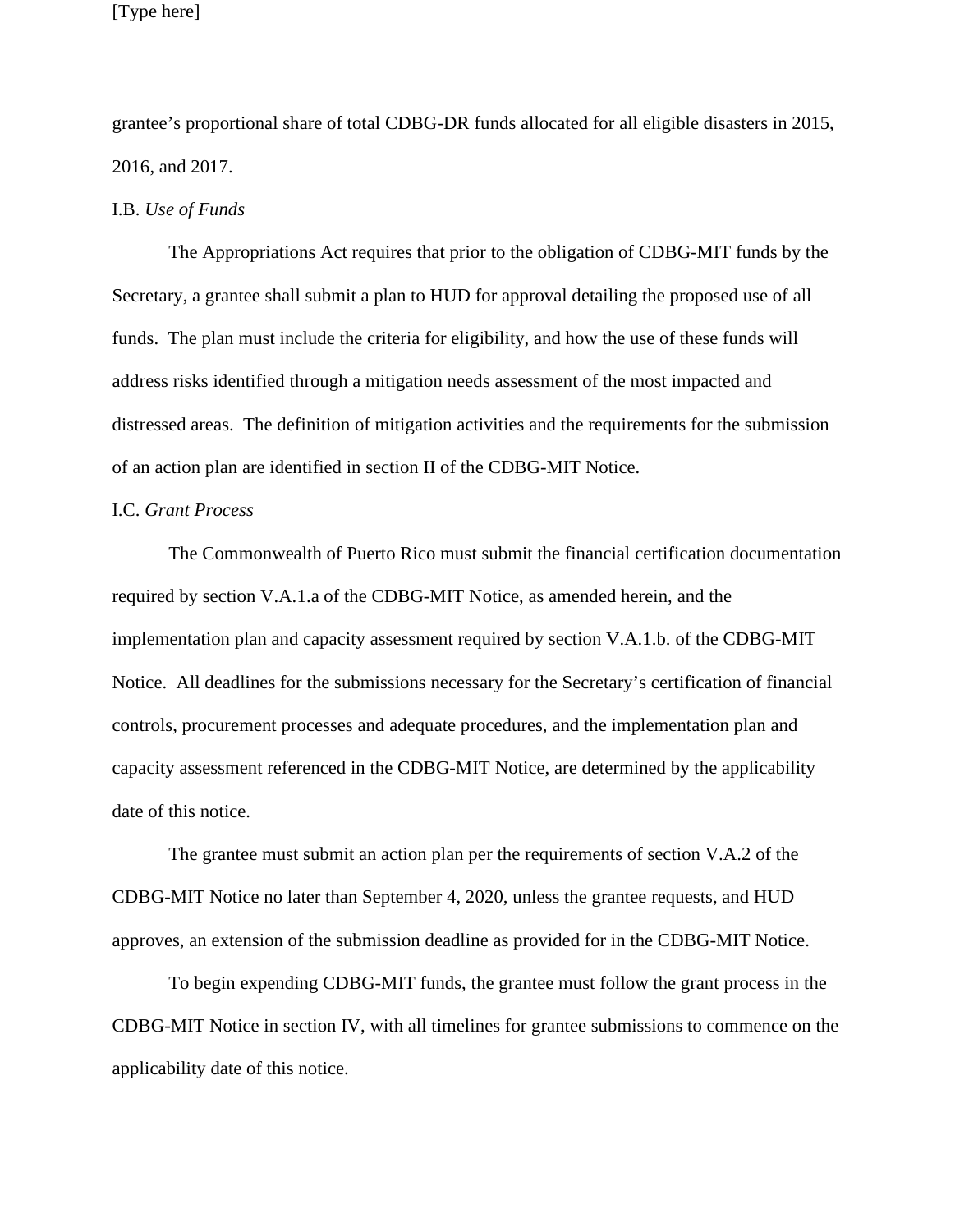grantee's proportional share of total CDBG-DR funds allocated for all eligible disasters in 2015, 2016, and 2017.

#### I.B. *Use of Funds*

The Appropriations Act requires that prior to the obligation of CDBG-MIT funds by the Secretary, a grantee shall submit a plan to HUD for approval detailing the proposed use of all funds. The plan must include the criteria for eligibility, and how the use of these funds will address risks identified through a mitigation needs assessment of the most impacted and distressed areas. The definition of mitigation activities and the requirements for the submission of an action plan are identified in section II of the CDBG-MIT Notice.

#### I.C. *Grant Process*

The Commonwealth of Puerto Rico must submit the financial certification documentation required by section V.A.1.a of the CDBG-MIT Notice, as amended herein, and the implementation plan and capacity assessment required by section V.A.1.b. of the CDBG-MIT Notice. All deadlines for the submissions necessary for the Secretary's certification of financial controls, procurement processes and adequate procedures, and the implementation plan and capacity assessment referenced in the CDBG-MIT Notice, are determined by the applicability date of this notice.

The grantee must submit an action plan per the requirements of section V.A.2 of the CDBG-MIT Notice no later than September 4, 2020, unless the grantee requests, and HUD approves, an extension of the submission deadline as provided for in the CDBG-MIT Notice.

To begin expending CDBG-MIT funds, the grantee must follow the grant process in the CDBG-MIT Notice in section IV, with all timelines for grantee submissions to commence on the applicability date of this notice.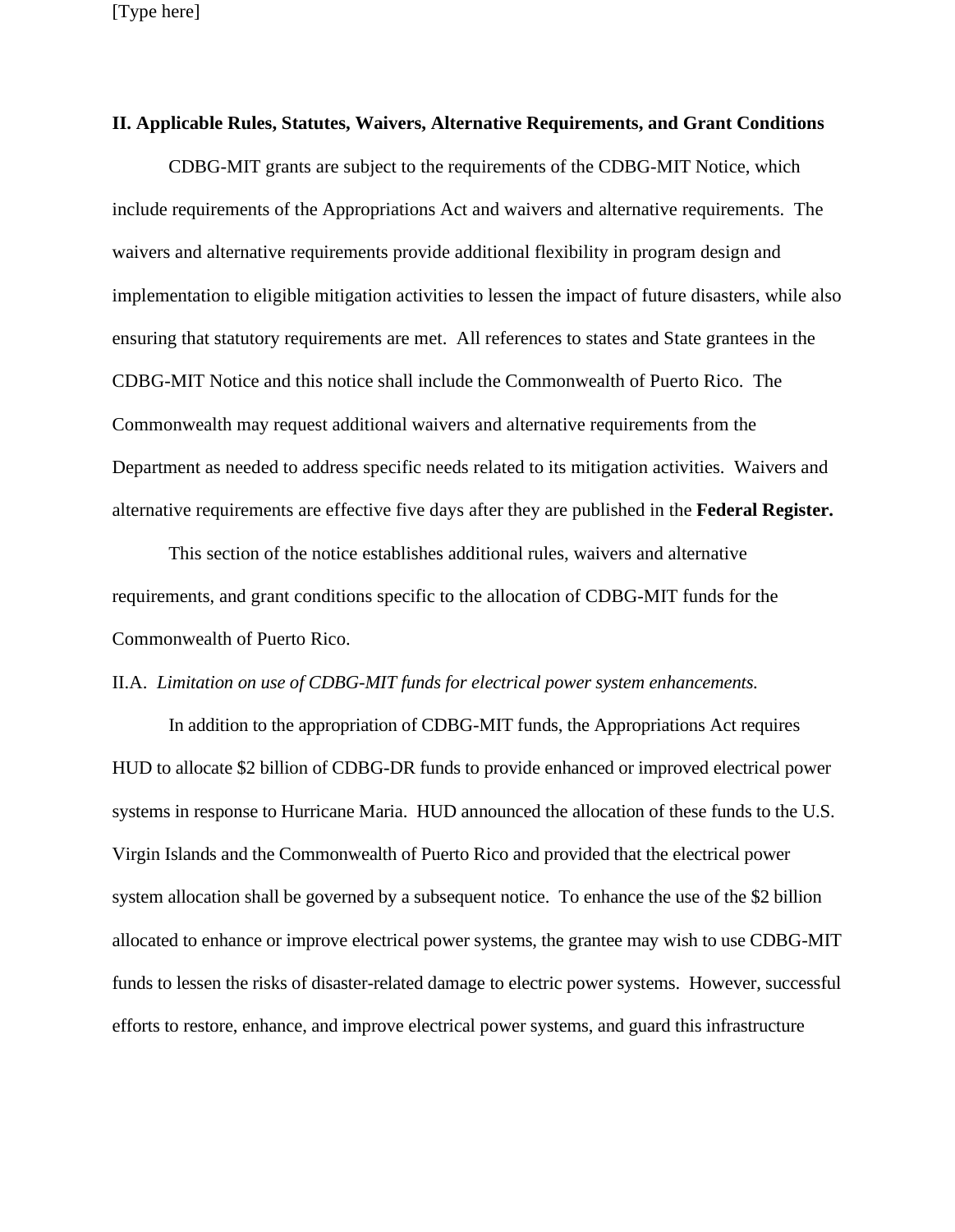### **II. Applicable Rules, Statutes, Waivers, Alternative Requirements, and Grant Conditions**

CDBG-MIT grants are subject to the requirements of the CDBG-MIT Notice, which include requirements of the Appropriations Act and waivers and alternative requirements. The waivers and alternative requirements provide additional flexibility in program design and implementation to eligible mitigation activities to lessen the impact of future disasters, while also ensuring that statutory requirements are met. All references to states and State grantees in the CDBG-MIT Notice and this notice shall include the Commonwealth of Puerto Rico. The Commonwealth may request additional waivers and alternative requirements from the Department as needed to address specific needs related to its mitigation activities. Waivers and alternative requirements are effective five days after they are published in the **Federal Register.** 

This section of the notice establishes additional rules, waivers and alternative requirements, and grant conditions specific to the allocation of CDBG-MIT funds for the Commonwealth of Puerto Rico.

### II.A. *Limitation on use of CDBG-MIT funds for electrical power system enhancements.*

In addition to the appropriation of CDBG-MIT funds, the Appropriations Act requires HUD to allocate \$2 billion of CDBG-DR funds to provide enhanced or improved electrical power systems in response to Hurricane Maria. HUD announced the allocation of these funds to the U.S. Virgin Islands and the Commonwealth of Puerto Rico and provided that the electrical power system allocation shall be governed by a subsequent notice. To enhance the use of the \$2 billion allocated to enhance or improve electrical power systems, the grantee may wish to use CDBG-MIT funds to lessen the risks of disaster-related damage to electric power systems. However, successful efforts to restore, enhance, and improve electrical power systems, and guard this infrastructure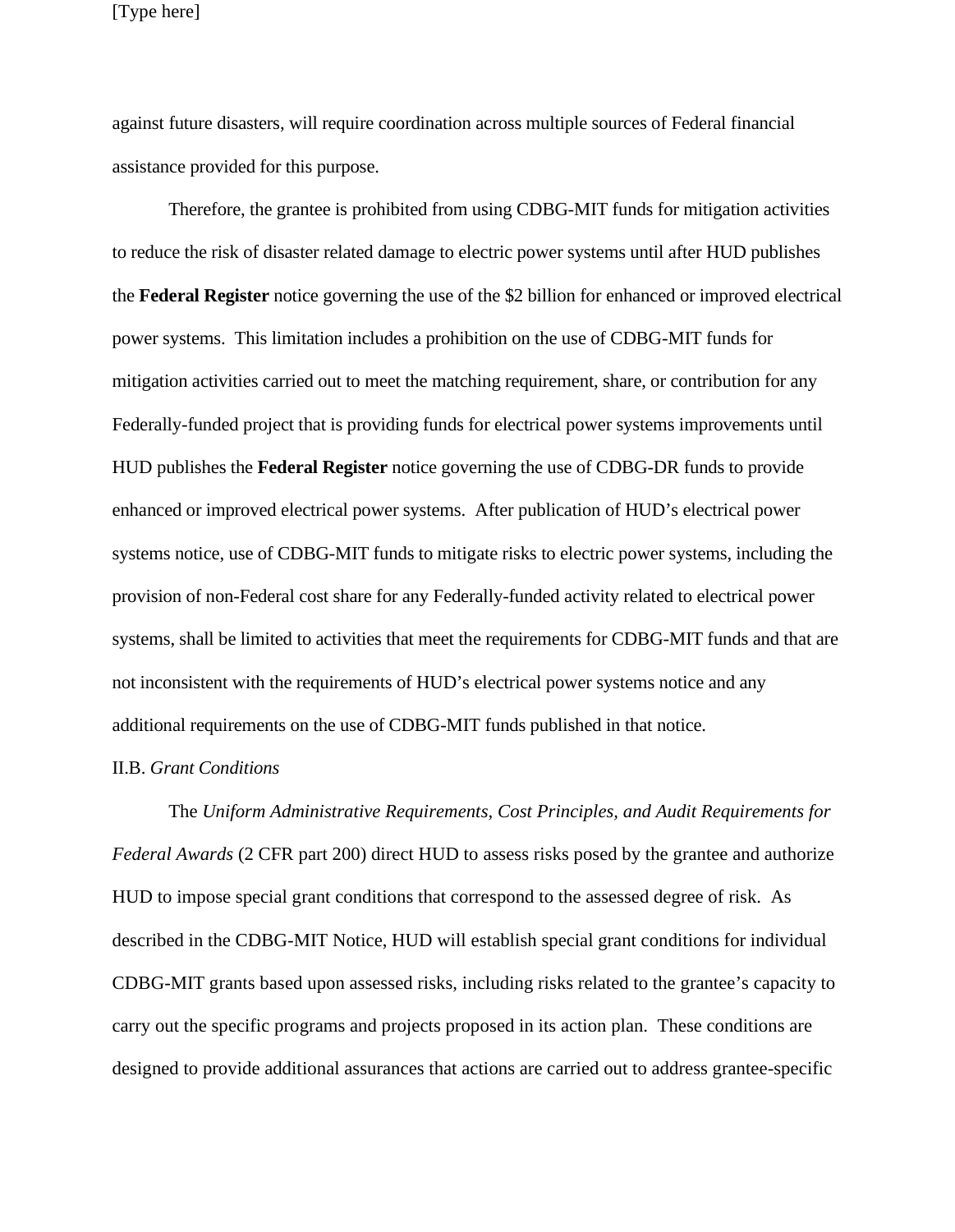against future disasters, will require coordination across multiple sources of Federal financial assistance provided for this purpose.

Therefore, the grantee is prohibited from using CDBG-MIT funds for mitigation activities to reduce the risk of disaster related damage to electric power systems until after HUD publishes the **Federal Register** notice governing the use of the \$2 billion for enhanced or improved electrical power systems. This limitation includes a prohibition on the use of CDBG-MIT funds for mitigation activities carried out to meet the matching requirement, share, or contribution for any Federally-funded project that is providing funds for electrical power systems improvements until HUD publishes the **Federal Register** notice governing the use of CDBG-DR funds to provide enhanced or improved electrical power systems. After publication of HUD's electrical power systems notice, use of CDBG-MIT funds to mitigate risks to electric power systems, including the provision of non-Federal cost share for any Federally-funded activity related to electrical power systems, shall be limited to activities that meet the requirements for CDBG-MIT funds and that are not inconsistent with the requirements of HUD's electrical power systems notice and any additional requirements on the use of CDBG-MIT funds published in that notice.

#### II.B. *Grant Conditions*

The *Uniform Administrative Requirements, Cost Principles, and Audit Requirements for Federal Awards* (2 CFR part 200) direct HUD to assess risks posed by the grantee and authorize HUD to impose special grant conditions that correspond to the assessed degree of risk. As described in the CDBG-MIT Notice, HUD will establish special grant conditions for individual CDBG-MIT grants based upon assessed risks, including risks related to the grantee's capacity to carry out the specific programs and projects proposed in its action plan. These conditions are designed to provide additional assurances that actions are carried out to address grantee-specific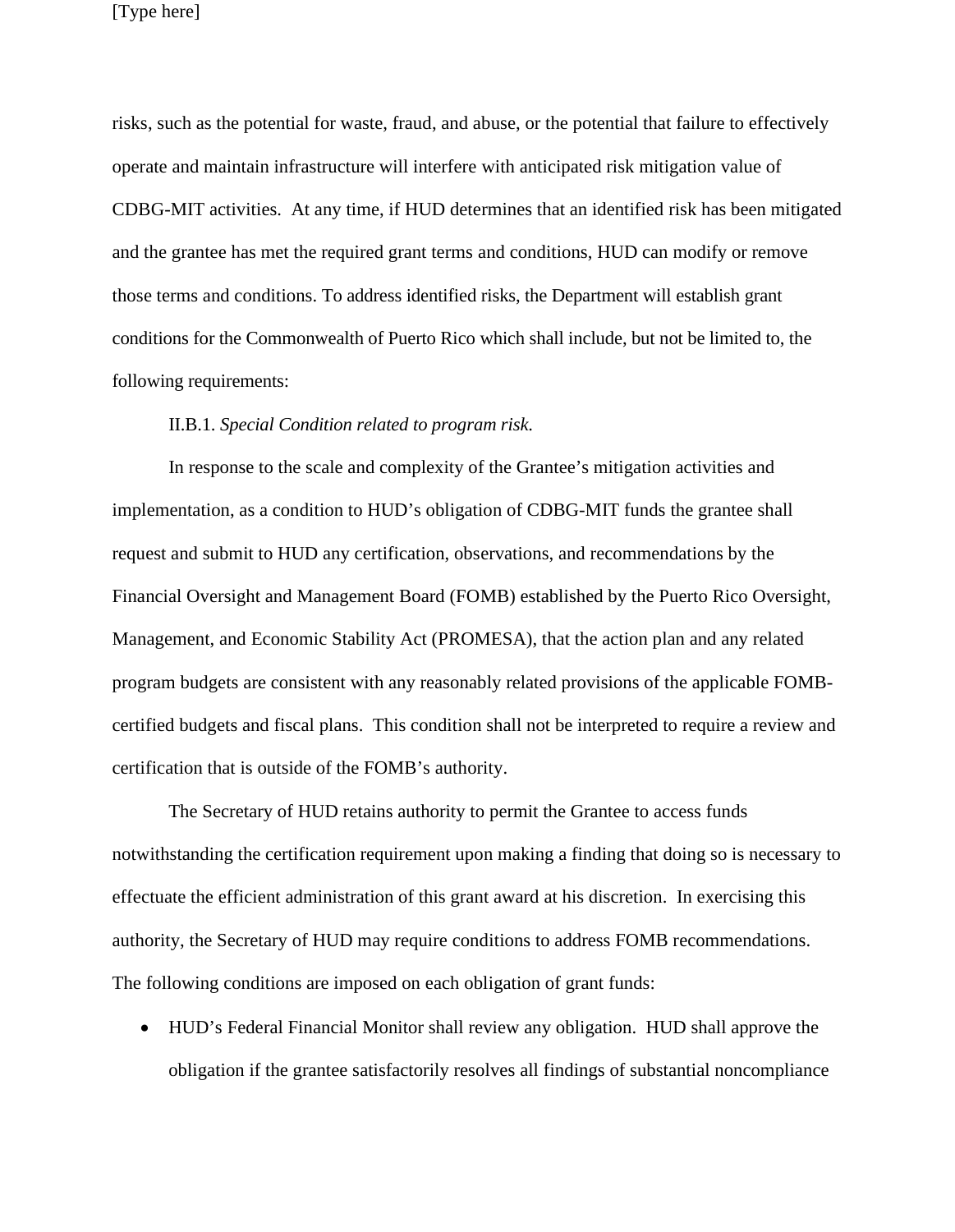risks, such as the potential for waste, fraud, and abuse, or the potential that failure to effectively operate and maintain infrastructure will interfere with anticipated risk mitigation value of CDBG-MIT activities. At any time, if HUD determines that an identified risk has been mitigated and the grantee has met the required grant terms and conditions, HUD can modify or remove those terms and conditions. To address identified risks, the Department will establish grant conditions for the Commonwealth of Puerto Rico which shall include, but not be limited to, the following requirements:

#### II.B.1. *Special Condition related to program risk*.

In response to the scale and complexity of the Grantee's mitigation activities and implementation, as a condition to HUD's obligation of CDBG-MIT funds the grantee shall request and submit to HUD any certification, observations, and recommendations by the Financial Oversight and Management Board (FOMB) established by the Puerto Rico Oversight, Management, and Economic Stability Act (PROMESA), that the action plan and any related program budgets are consistent with any reasonably related provisions of the applicable FOMBcertified budgets and fiscal plans. This condition shall not be interpreted to require a review and certification that is outside of the FOMB's authority.

The Secretary of HUD retains authority to permit the Grantee to access funds notwithstanding the certification requirement upon making a finding that doing so is necessary to effectuate the efficient administration of this grant award at his discretion. In exercising this authority, the Secretary of HUD may require conditions to address FOMB recommendations. The following conditions are imposed on each obligation of grant funds:

 HUD's Federal Financial Monitor shall review any obligation. HUD shall approve the obligation if the grantee satisfactorily resolves all findings of substantial noncompliance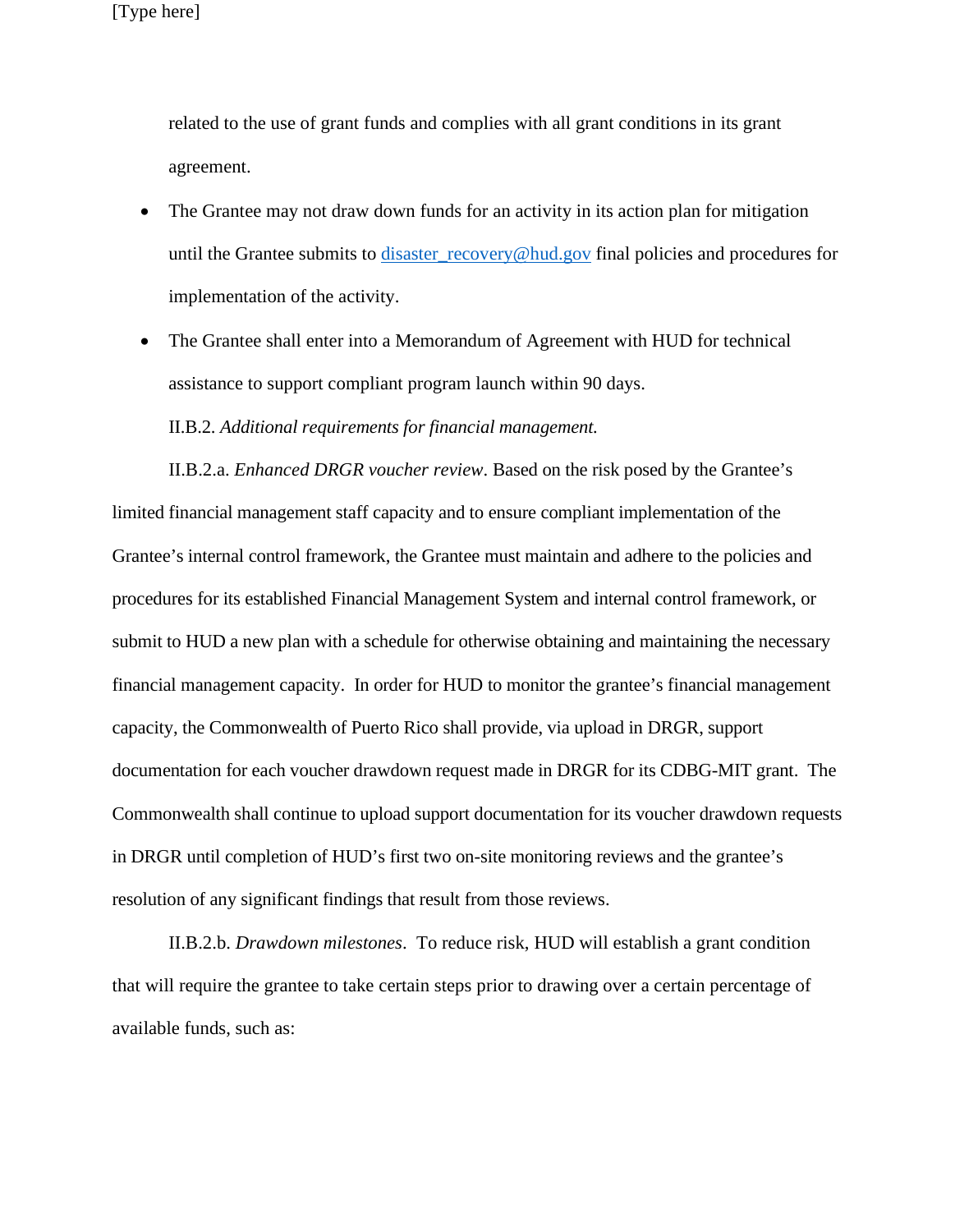related to the use of grant funds and complies with all grant conditions in its grant agreement.

- The Grantee may not draw down funds for an activity in its action plan for mitigation until the Grantee submits to [disaster\\_recovery@hud.gov](mailto:disaster_recovery@hud.gov) final policies and procedures for implementation of the activity.
- The Grantee shall enter into a Memorandum of Agreement with HUD for technical assistance to support compliant program launch within 90 days.

II.B.2. *Additional requirements for financial management.*

II.B.2.a. *Enhanced DRGR voucher review*. Based on the risk posed by the Grantee's limited financial management staff capacity and to ensure compliant implementation of the Grantee's internal control framework, the Grantee must maintain and adhere to the policies and procedures for its established Financial Management System and internal control framework, or submit to HUD a new plan with a schedule for otherwise obtaining and maintaining the necessary financial management capacity. In order for HUD to monitor the grantee's financial management capacity, the Commonwealth of Puerto Rico shall provide, via upload in DRGR, support documentation for each voucher drawdown request made in DRGR for its CDBG-MIT grant. The Commonwealth shall continue to upload support documentation for its voucher drawdown requests in DRGR until completion of HUD's first two on-site monitoring reviews and the grantee's resolution of any significant findings that result from those reviews.

II.B.2.b. *Drawdown milestones*. To reduce risk, HUD will establish a grant condition that will require the grantee to take certain steps prior to drawing over a certain percentage of available funds, such as: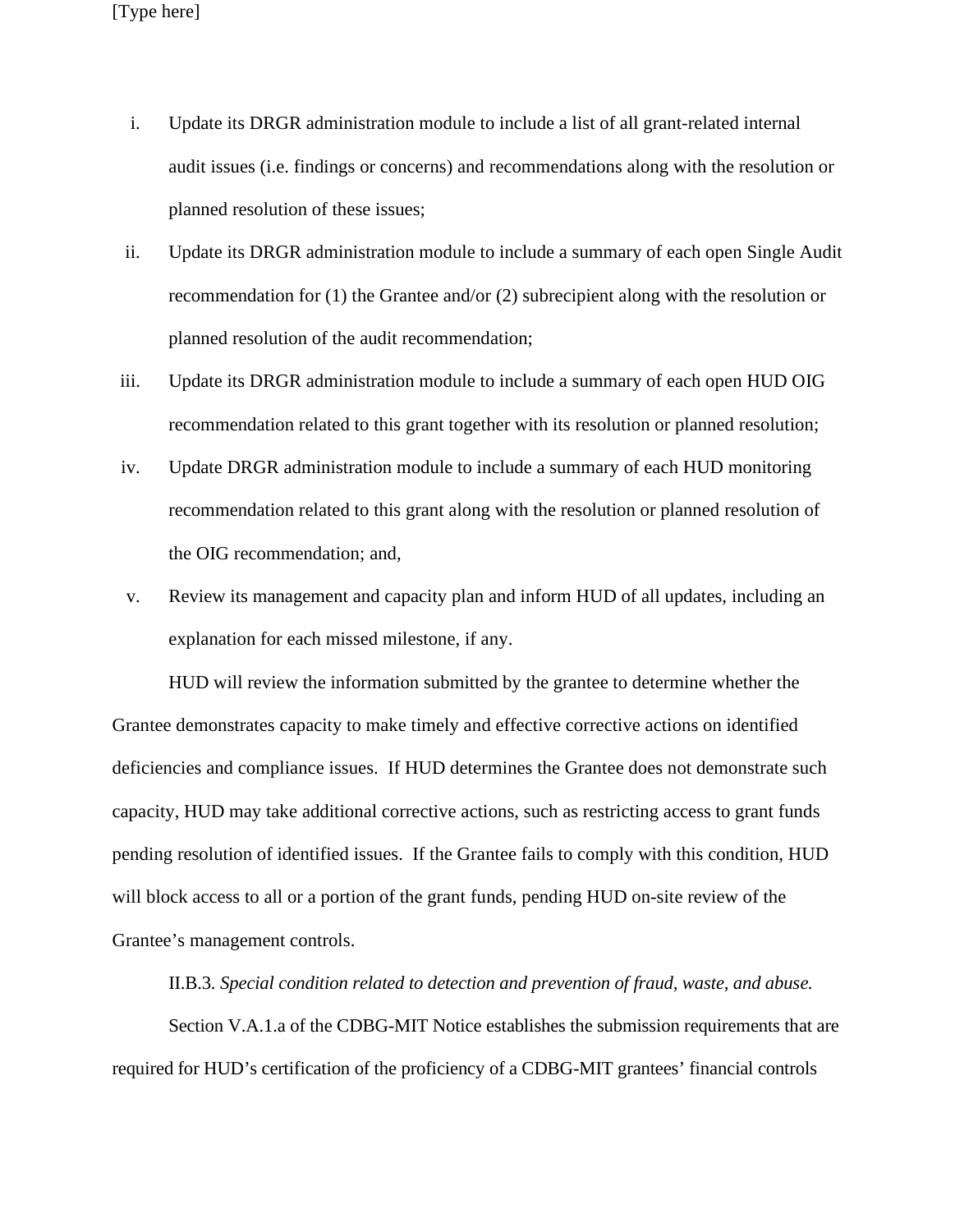- i. Update its DRGR administration module to include a list of all grant-related internal audit issues (i.e. findings or concerns) and recommendations along with the resolution or planned resolution of these issues;
- ii. Update its DRGR administration module to include a summary of each open Single Audit recommendation for (1) the Grantee and/or (2) subrecipient along with the resolution or planned resolution of the audit recommendation;
- iii. Update its DRGR administration module to include a summary of each open HUD OIG recommendation related to this grant together with its resolution or planned resolution;
- iv. Update DRGR administration module to include a summary of each HUD monitoring recommendation related to this grant along with the resolution or planned resolution of the OIG recommendation; and,
- v. Review its management and capacity plan and inform HUD of all updates, including an explanation for each missed milestone, if any.

HUD will review the information submitted by the grantee to determine whether the Grantee demonstrates capacity to make timely and effective corrective actions on identified deficiencies and compliance issues. If HUD determines the Grantee does not demonstrate such capacity, HUD may take additional corrective actions, such as restricting access to grant funds pending resolution of identified issues. If the Grantee fails to comply with this condition, HUD will block access to all or a portion of the grant funds, pending HUD on-site review of the Grantee's management controls.

II.B.3. *Special condition related to detection and prevention of fraud, waste, and abuse.* 

Section V.A.1.a of the CDBG-MIT Notice establishes the submission requirements that are required for HUD's certification of the proficiency of a CDBG-MIT grantees' financial controls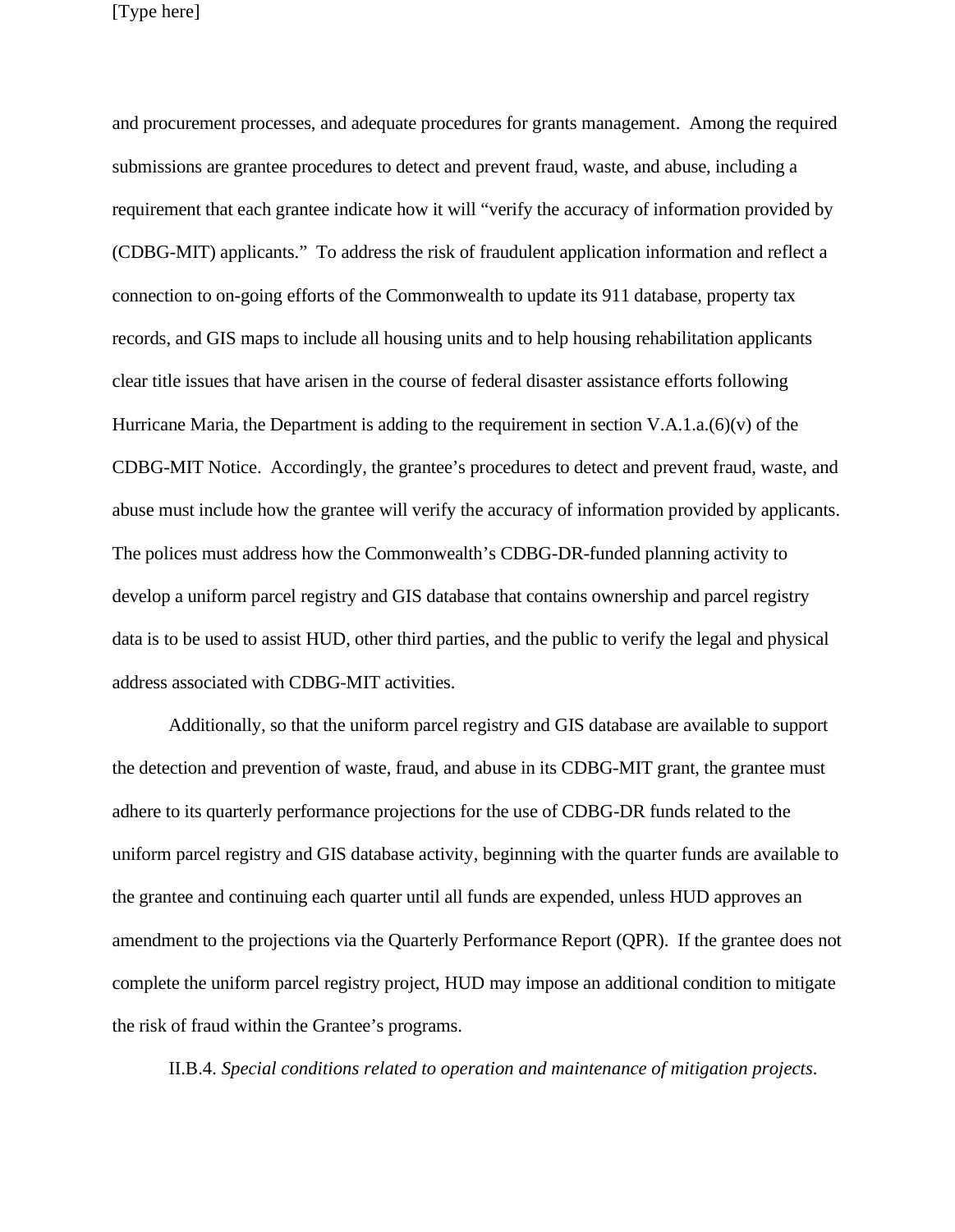and procurement processes, and adequate procedures for grants management. Among the required submissions are grantee procedures to detect and prevent fraud, waste, and abuse, including a requirement that each grantee indicate how it will "verify the accuracy of information provided by (CDBG-MIT) applicants." To address the risk of fraudulent application information and reflect a connection to on-going efforts of the Commonwealth to update its 911 database, property tax records, and GIS maps to include all housing units and to help housing rehabilitation applicants clear title issues that have arisen in the course of federal disaster assistance efforts following Hurricane Maria, the Department is adding to the requirement in section V.A.1.a.(6)(v) of the CDBG-MIT Notice. Accordingly, the grantee's procedures to detect and prevent fraud, waste, and abuse must include how the grantee will verify the accuracy of information provided by applicants. The polices must address how the Commonwealth's CDBG-DR-funded planning activity to develop a uniform parcel registry and GIS database that contains ownership and parcel registry data is to be used to assist HUD, other third parties, and the public to verify the legal and physical address associated with CDBG-MIT activities.

Additionally, so that the uniform parcel registry and GIS database are available to support the detection and prevention of waste, fraud, and abuse in its CDBG-MIT grant, the grantee must adhere to its quarterly performance projections for the use of CDBG-DR funds related to the uniform parcel registry and GIS database activity, beginning with the quarter funds are available to the grantee and continuing each quarter until all funds are expended, unless HUD approves an amendment to the projections via the Quarterly Performance Report (QPR). If the grantee does not complete the uniform parcel registry project, HUD may impose an additional condition to mitigate the risk of fraud within the Grantee's programs.

II.B.4. *Special conditions related to operation and maintenance of mitigation projects*.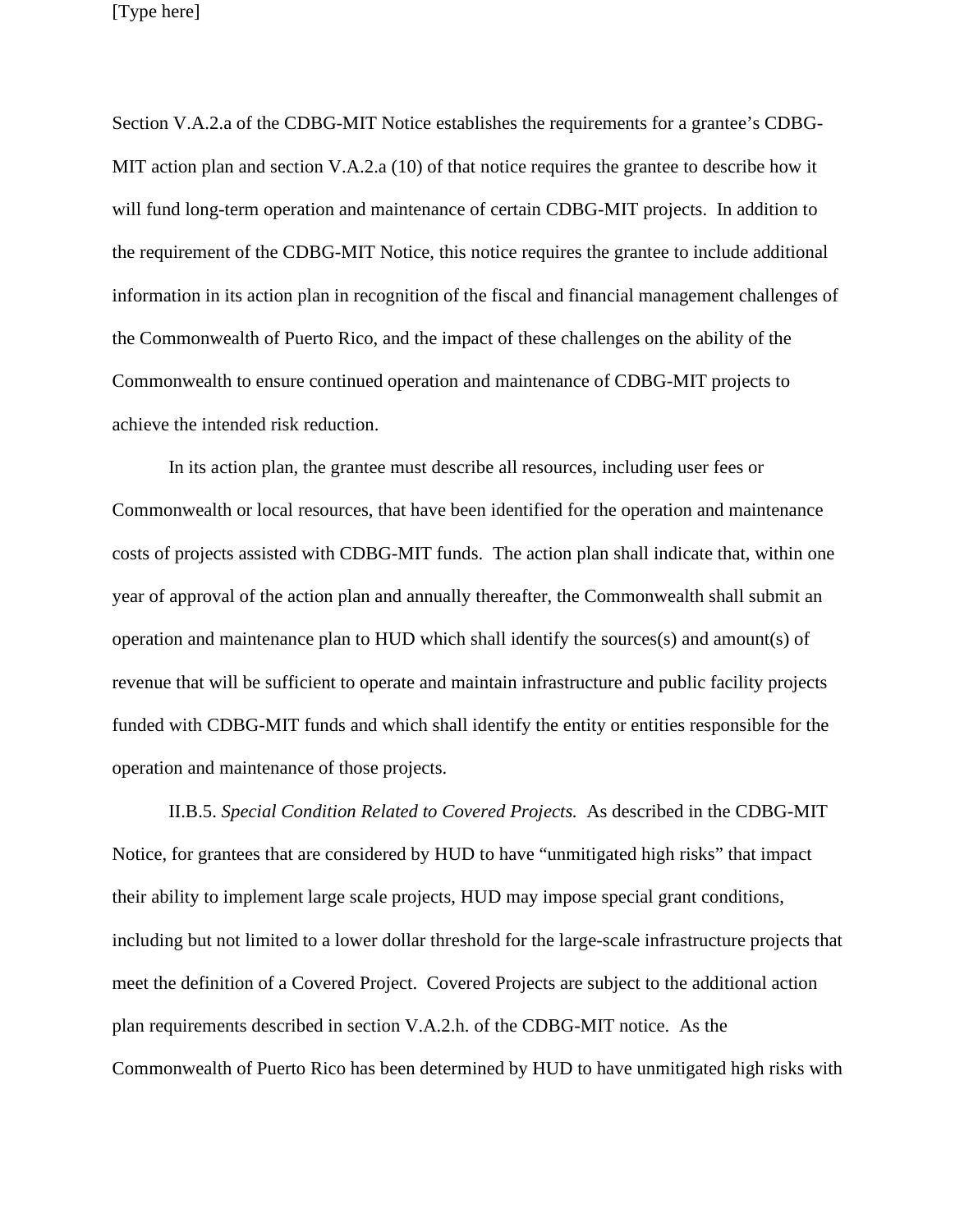Section V.A.2.a of the CDBG-MIT Notice establishes the requirements for a grantee's CDBG-MIT action plan and section V.A.2.a (10) of that notice requires the grantee to describe how it will fund long-term operation and maintenance of certain CDBG-MIT projects. In addition to the requirement of the CDBG-MIT Notice, this notice requires the grantee to include additional information in its action plan in recognition of the fiscal and financial management challenges of the Commonwealth of Puerto Rico, and the impact of these challenges on the ability of the Commonwealth to ensure continued operation and maintenance of CDBG-MIT projects to achieve the intended risk reduction.

In its action plan, the grantee must describe all resources, including user fees or Commonwealth or local resources, that have been identified for the operation and maintenance costs of projects assisted with CDBG-MIT funds. The action plan shall indicate that, within one year of approval of the action plan and annually thereafter, the Commonwealth shall submit an operation and maintenance plan to HUD which shall identify the sources(s) and amount(s) of revenue that will be sufficient to operate and maintain infrastructure and public facility projects funded with CDBG-MIT funds and which shall identify the entity or entities responsible for the operation and maintenance of those projects.

II.B.5. *Special Condition Related to Covered Projects.* As described in the CDBG-MIT Notice, for grantees that are considered by HUD to have "unmitigated high risks" that impact their ability to implement large scale projects, HUD may impose special grant conditions, including but not limited to a lower dollar threshold for the large-scale infrastructure projects that meet the definition of a Covered Project. Covered Projects are subject to the additional action plan requirements described in section V.A.2.h. of the CDBG-MIT notice. As the Commonwealth of Puerto Rico has been determined by HUD to have unmitigated high risks with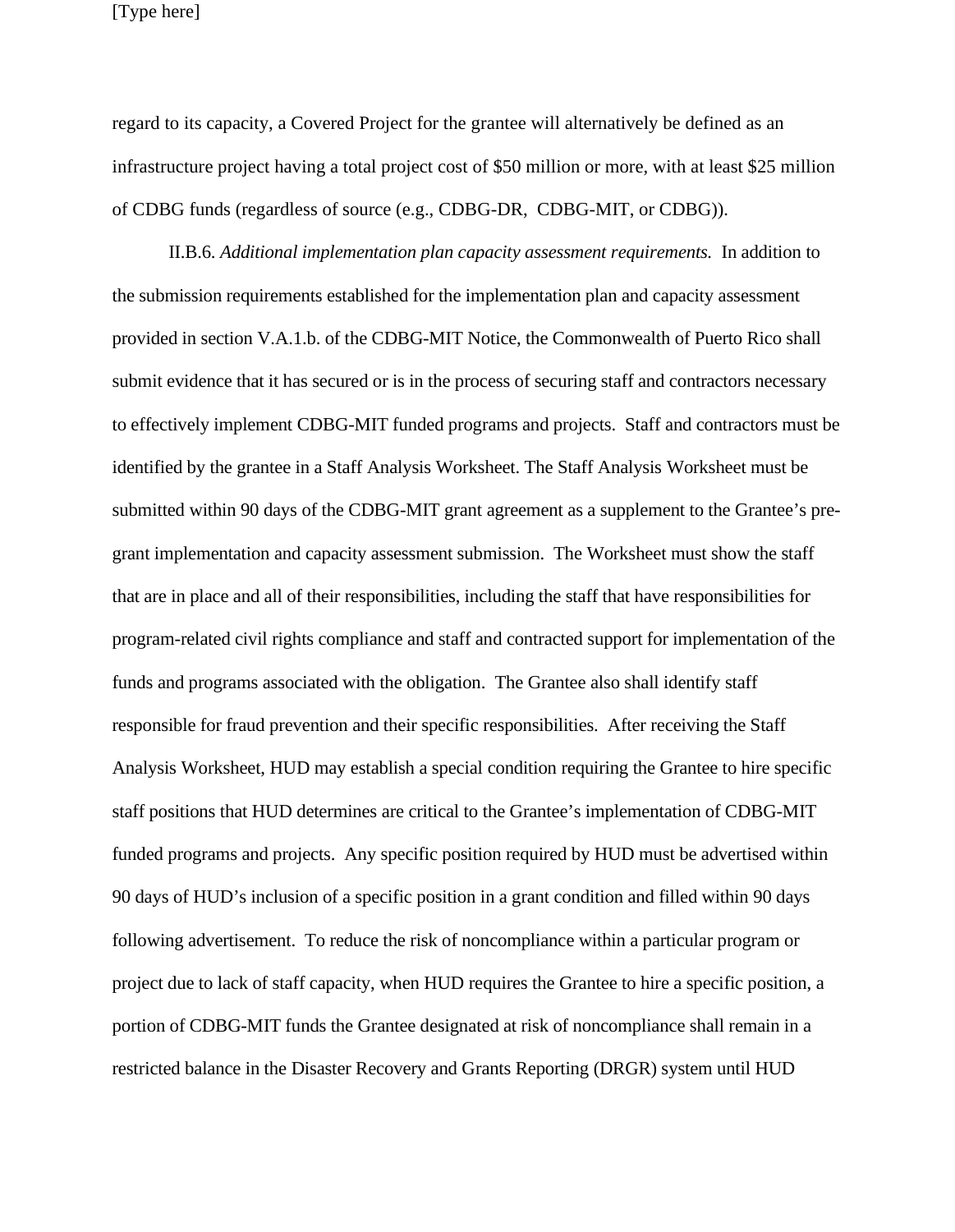regard to its capacity, a Covered Project for the grantee will alternatively be defined as an infrastructure project having a total project cost of \$50 million or more, with at least \$25 million of CDBG funds (regardless of source (e.g., CDBG-DR, CDBG-MIT, or CDBG)).

II.B.6. *Additional implementation plan capacity assessment requirements.* In addition to the submission requirements established for the implementation plan and capacity assessment provided in section V.A.1.b. of the CDBG-MIT Notice, the Commonwealth of Puerto Rico shall submit evidence that it has secured or is in the process of securing staff and contractors necessary to effectively implement CDBG-MIT funded programs and projects. Staff and contractors must be identified by the grantee in a Staff Analysis Worksheet. The Staff Analysis Worksheet must be submitted within 90 days of the CDBG-MIT grant agreement as a supplement to the Grantee's pregrant implementation and capacity assessment submission. The Worksheet must show the staff that are in place and all of their responsibilities, including the staff that have responsibilities for program-related civil rights compliance and staff and contracted support for implementation of the funds and programs associated with the obligation. The Grantee also shall identify staff responsible for fraud prevention and their specific responsibilities. After receiving the Staff Analysis Worksheet, HUD may establish a special condition requiring the Grantee to hire specific staff positions that HUD determines are critical to the Grantee's implementation of CDBG-MIT funded programs and projects. Any specific position required by HUD must be advertised within 90 days of HUD's inclusion of a specific position in a grant condition and filled within 90 days following advertisement. To reduce the risk of noncompliance within a particular program or project due to lack of staff capacity, when HUD requires the Grantee to hire a specific position, a portion of CDBG-MIT funds the Grantee designated at risk of noncompliance shall remain in a restricted balance in the Disaster Recovery and Grants Reporting (DRGR) system until HUD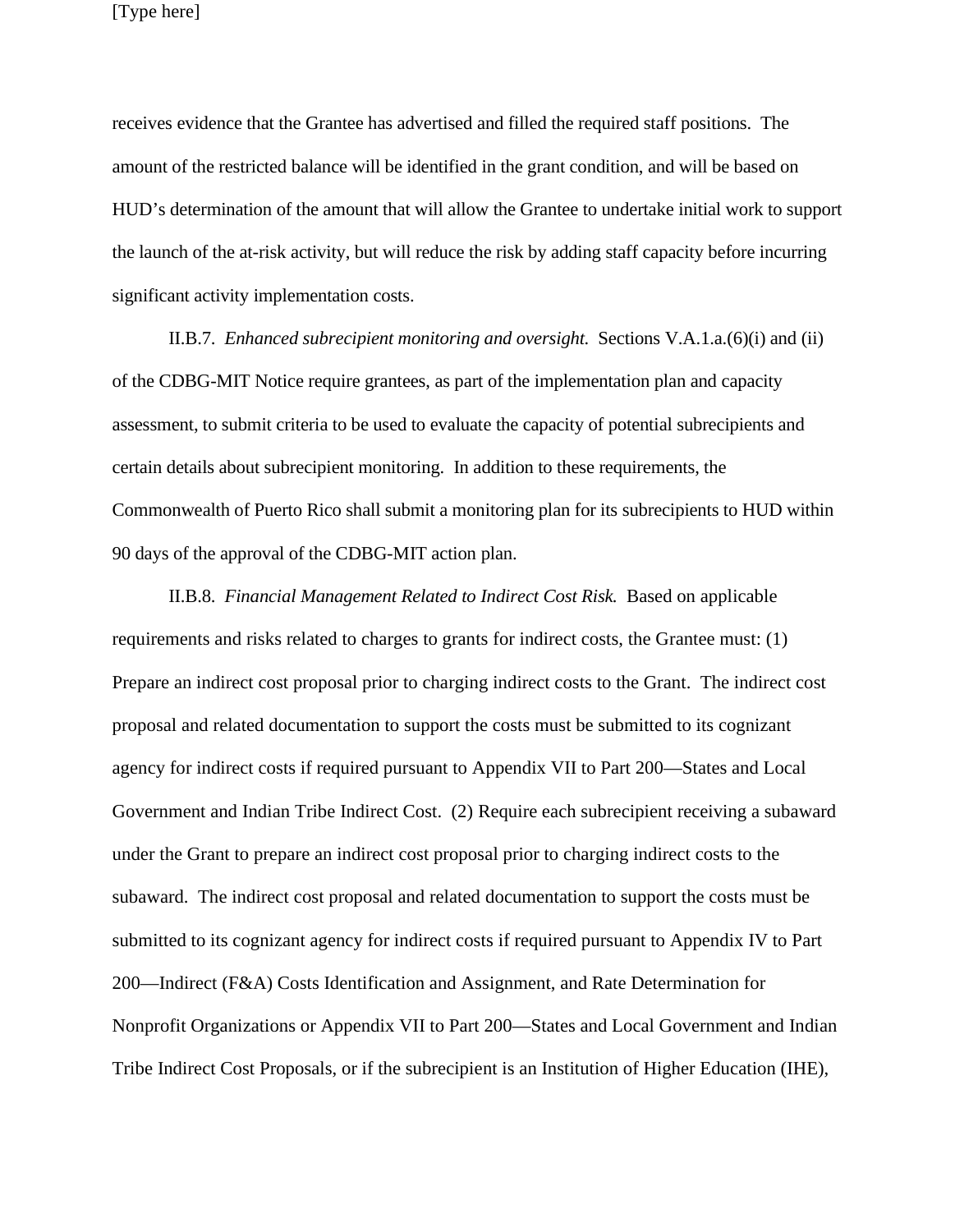[Type here]

receives evidence that the Grantee has advertised and filled the required staff positions. The amount of the restricted balance will be identified in the grant condition, and will be based on HUD's determination of the amount that will allow the Grantee to undertake initial work to support the launch of the at-risk activity, but will reduce the risk by adding staff capacity before incurring significant activity implementation costs.

II.B.7. *Enhanced subrecipient monitoring and oversight.* Sections V.A.1.a.(6)(i) and (ii) of the CDBG-MIT Notice require grantees, as part of the implementation plan and capacity assessment, to submit criteria to be used to evaluate the capacity of potential subrecipients and certain details about subrecipient monitoring. In addition to these requirements, the Commonwealth of Puerto Rico shall submit a monitoring plan for its subrecipients to HUD within 90 days of the approval of the CDBG-MIT action plan.

II.B.8. *Financial Management Related to Indirect Cost Risk.* Based on applicable requirements and risks related to charges to grants for indirect costs, the Grantee must: (1) Prepare an indirect cost proposal prior to charging indirect costs to the Grant. The indirect cost proposal and related documentation to support the costs must be submitted to its cognizant agency for indirect costs if required pursuant to Appendix VII to Part 200—States and Local Government and Indian Tribe Indirect Cost. (2) Require each subrecipient receiving a subaward under the Grant to prepare an indirect cost proposal prior to charging indirect costs to the subaward. The indirect cost proposal and related documentation to support the costs must be submitted to its cognizant agency for indirect costs if required pursuant to Appendix IV to Part 200—Indirect (F&A) Costs Identification and Assignment, and Rate Determination for Nonprofit Organizations or Appendix VII to Part 200—States and Local Government and Indian Tribe Indirect Cost Proposals, or if the subrecipient is an Institution of Higher Education (IHE),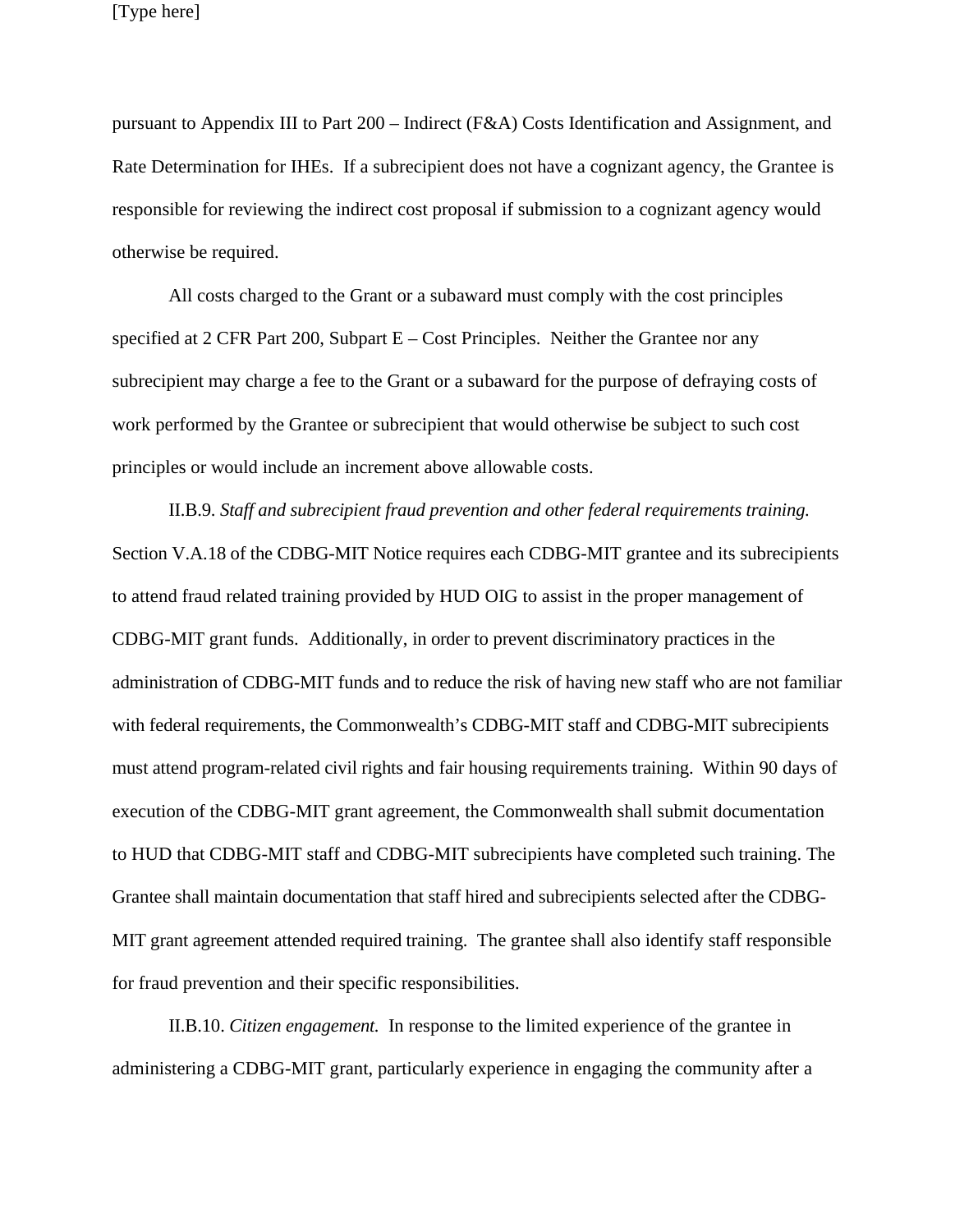pursuant to Appendix III to Part 200 – Indirect (F&A) Costs Identification and Assignment, and Rate Determination for IHEs. If a subrecipient does not have a cognizant agency, the Grantee is responsible for reviewing the indirect cost proposal if submission to a cognizant agency would otherwise be required.

All costs charged to the Grant or a subaward must comply with the cost principles specified at 2 CFR Part 200, Subpart  $E - Cost$  Principles. Neither the Grantee nor any subrecipient may charge a fee to the Grant or a subaward for the purpose of defraying costs of work performed by the Grantee or subrecipient that would otherwise be subject to such cost principles or would include an increment above allowable costs.

II.B.9. *Staff and subrecipient fraud prevention and other federal requirements training.*  Section V.A.18 of the CDBG-MIT Notice requires each CDBG-MIT grantee and its subrecipients to attend fraud related training provided by HUD OIG to assist in the proper management of CDBG-MIT grant funds. Additionally, in order to prevent discriminatory practices in the administration of CDBG-MIT funds and to reduce the risk of having new staff who are not familiar with federal requirements, the Commonwealth's CDBG-MIT staff and CDBG-MIT subrecipients must attend program-related civil rights and fair housing requirements training. Within 90 days of execution of the CDBG-MIT grant agreement, the Commonwealth shall submit documentation to HUD that CDBG-MIT staff and CDBG-MIT subrecipients have completed such training. The Grantee shall maintain documentation that staff hired and subrecipients selected after the CDBG-MIT grant agreement attended required training. The grantee shall also identify staff responsible for fraud prevention and their specific responsibilities.

II.B.10. *Citizen engagement.* In response to the limited experience of the grantee in administering a CDBG-MIT grant, particularly experience in engaging the community after a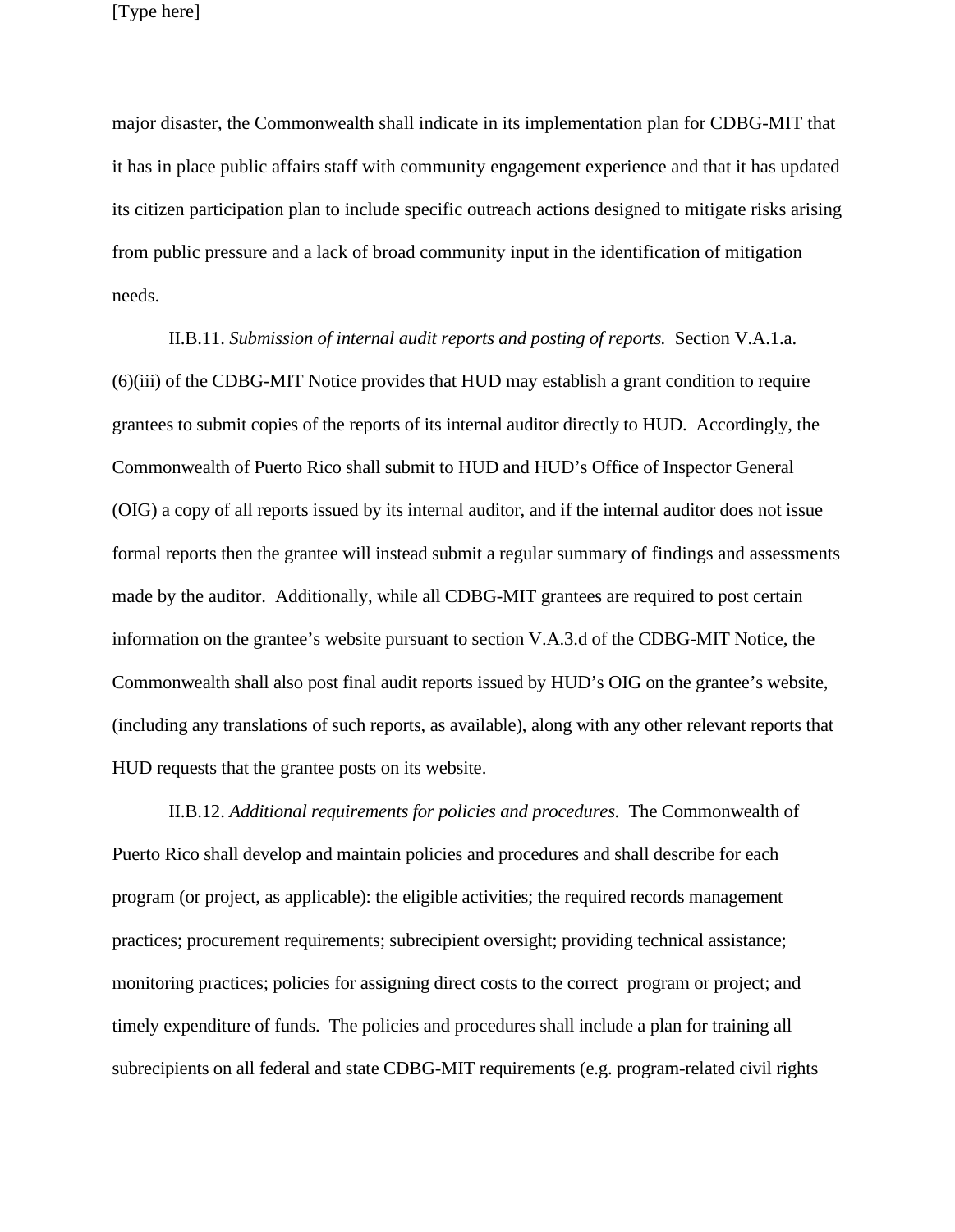major disaster, the Commonwealth shall indicate in its implementation plan for CDBG-MIT that it has in place public affairs staff with community engagement experience and that it has updated its citizen participation plan to include specific outreach actions designed to mitigate risks arising from public pressure and a lack of broad community input in the identification of mitigation needs.

II.B.11. *Submission of internal audit reports and posting of reports.* Section V.A.1.a. (6)(iii) of the CDBG-MIT Notice provides that HUD may establish a grant condition to require grantees to submit copies of the reports of its internal auditor directly to HUD. Accordingly, the Commonwealth of Puerto Rico shall submit to HUD and HUD's Office of Inspector General (OIG) a copy of all reports issued by its internal auditor, and if the internal auditor does not issue formal reports then the grantee will instead submit a regular summary of findings and assessments made by the auditor. Additionally, while all CDBG-MIT grantees are required to post certain information on the grantee's website pursuant to section V.A.3.d of the CDBG-MIT Notice, the Commonwealth shall also post final audit reports issued by HUD's OIG on the grantee's website, (including any translations of such reports, as available), along with any other relevant reports that HUD requests that the grantee posts on its website.

II.B.12. *Additional requirements for policies and procedures.* The Commonwealth of Puerto Rico shall develop and maintain policies and procedures and shall describe for each program (or project, as applicable): the eligible activities; the required records management practices; procurement requirements; subrecipient oversight; providing technical assistance; monitoring practices; policies for assigning direct costs to the correct program or project; and timely expenditure of funds. The policies and procedures shall include a plan for training all subrecipients on all federal and state CDBG-MIT requirements (e.g. program-related civil rights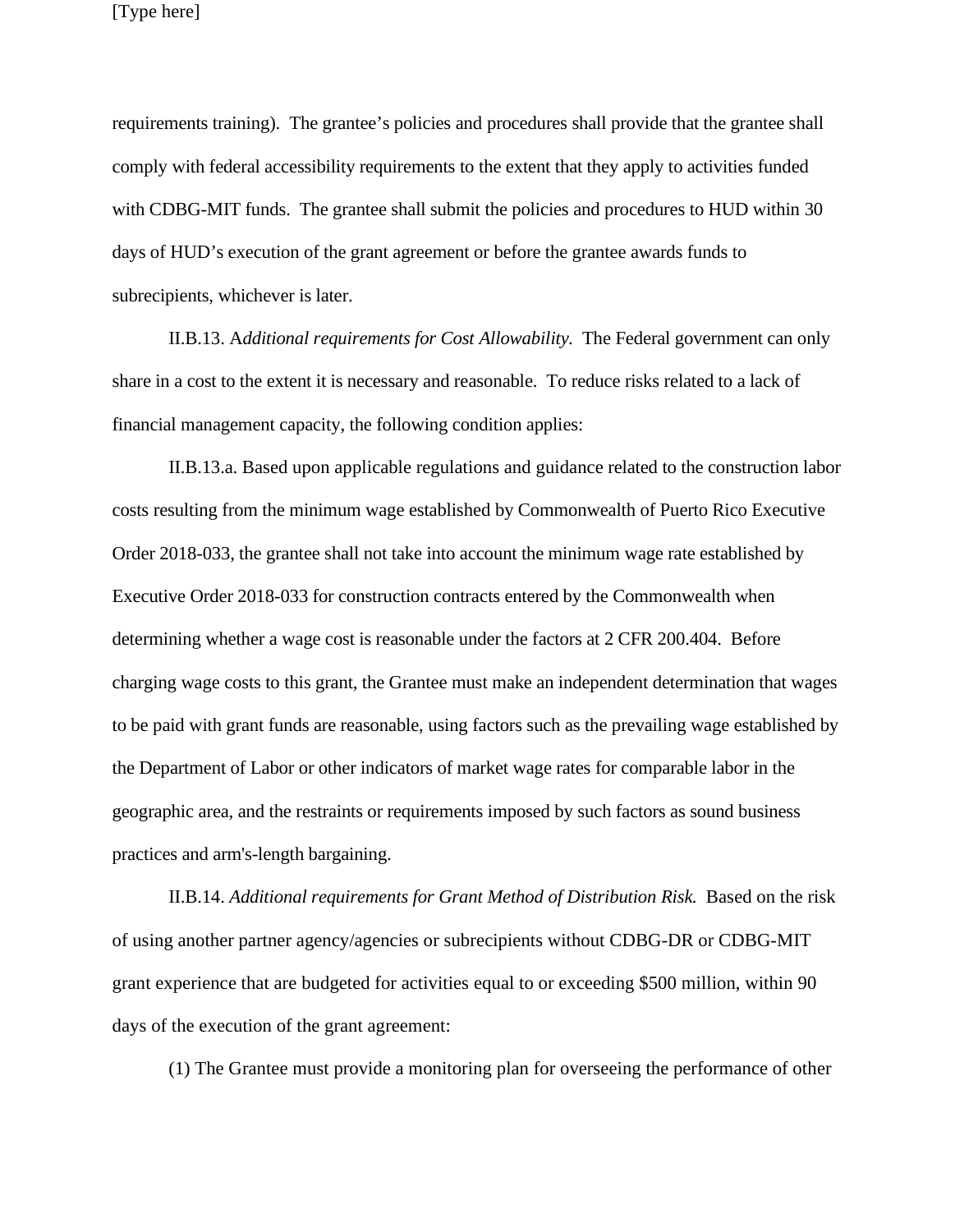requirements training). The grantee's policies and procedures shall provide that the grantee shall comply with federal accessibility requirements to the extent that they apply to activities funded with CDBG-MIT funds. The grantee shall submit the policies and procedures to HUD within 30 days of HUD's execution of the grant agreement or before the grantee awards funds to subrecipients, whichever is later.

II.B.13. A*dditional requirements for Cost Allowability.* The Federal government can only share in a cost to the extent it is necessary and reasonable. To reduce risks related to a lack of financial management capacity, the following condition applies:

II.B.13.a. Based upon applicable regulations and guidance related to the construction labor costs resulting from the minimum wage established by Commonwealth of Puerto Rico Executive Order 2018-033, the grantee shall not take into account the minimum wage rate established by Executive Order 2018-033 for construction contracts entered by the Commonwealth when determining whether a wage cost is reasonable under the factors at 2 CFR 200.404. Before charging wage costs to this grant, the Grantee must make an independent determination that wages to be paid with grant funds are reasonable, using factors such as the prevailing wage established by the Department of Labor or other indicators of market wage rates for comparable labor in the geographic area, and the restraints or requirements imposed by such factors as sound business practices and arm's-length bargaining.

II.B.14. *Additional requirements for Grant Method of Distribution Risk.* Based on the risk of using another partner agency/agencies or subrecipients without CDBG-DR or CDBG-MIT grant experience that are budgeted for activities equal to or exceeding \$500 million, within 90 days of the execution of the grant agreement:

(1) The Grantee must provide a monitoring plan for overseeing the performance of other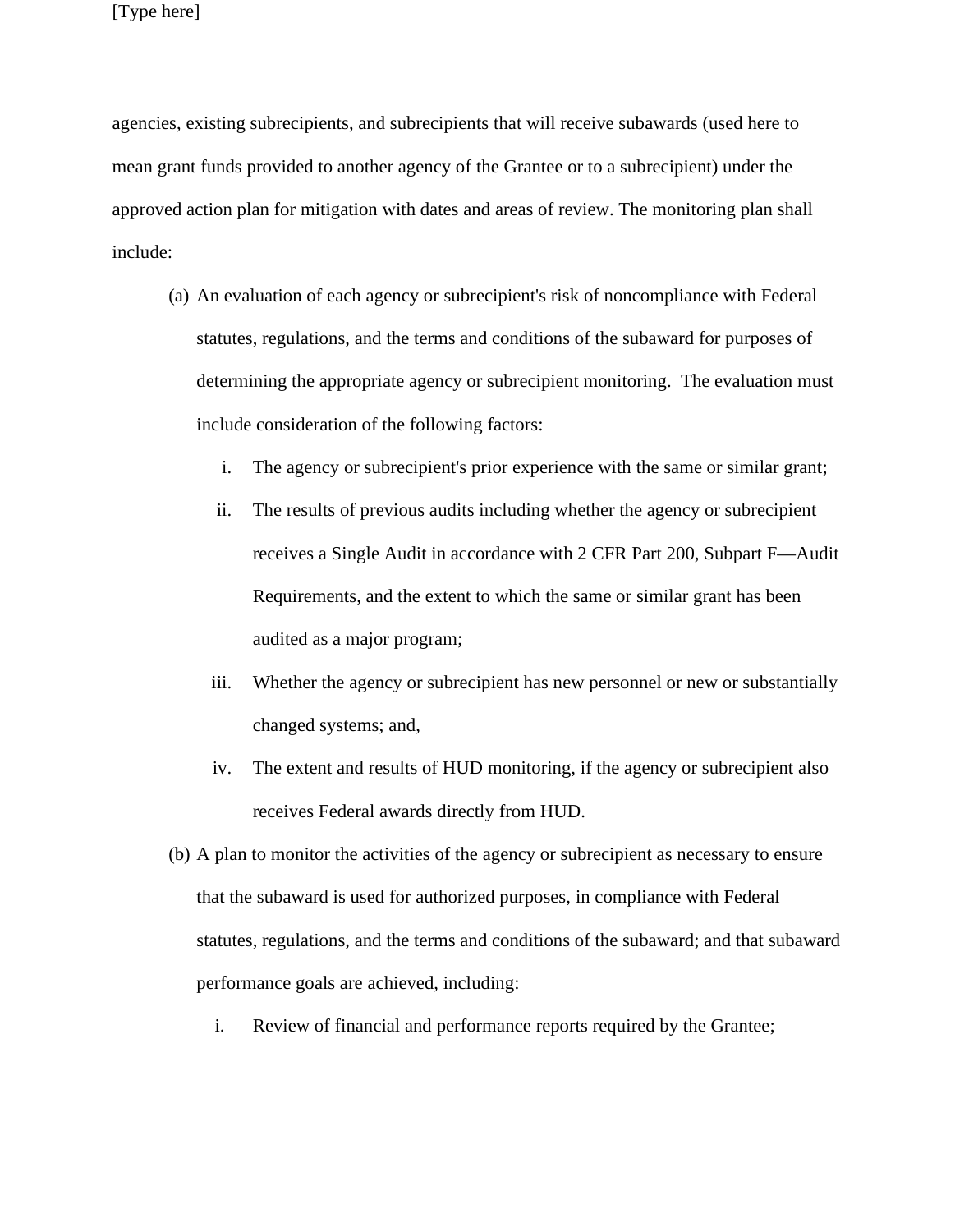agencies, existing subrecipients, and subrecipients that will receive subawards (used here to mean grant funds provided to another agency of the Grantee or to a subrecipient) under the approved action plan for mitigation with dates and areas of review. The monitoring plan shall include:

- (a) An evaluation of each agency or subrecipient's risk of noncompliance with Federal statutes, regulations, and the terms and conditions of the subaward for purposes of determining the appropriate agency or subrecipient monitoring. The evaluation must include consideration of the following factors:
	- i. The agency or subrecipient's prior experience with the same or similar grant;
	- ii. The results of previous audits including whether the agency or subrecipient receives a Single Audit in accordance with 2 CFR Part 200, Subpart F—Audit Requirements, and the extent to which the same or similar grant has been audited as a major program;
	- iii. Whether the agency or subrecipient has new personnel or new or substantially changed systems; and,
	- iv. The extent and results of HUD monitoring, if the agency or subrecipient also receives Federal awards directly from HUD.
- (b) A plan to monitor the activities of the agency or subrecipient as necessary to ensure that the subaward is used for authorized purposes, in compliance with Federal statutes, regulations, and the terms and conditions of the subaward; and that subaward performance goals are achieved, including:
	- i. Review of financial and performance reports required by the Grantee;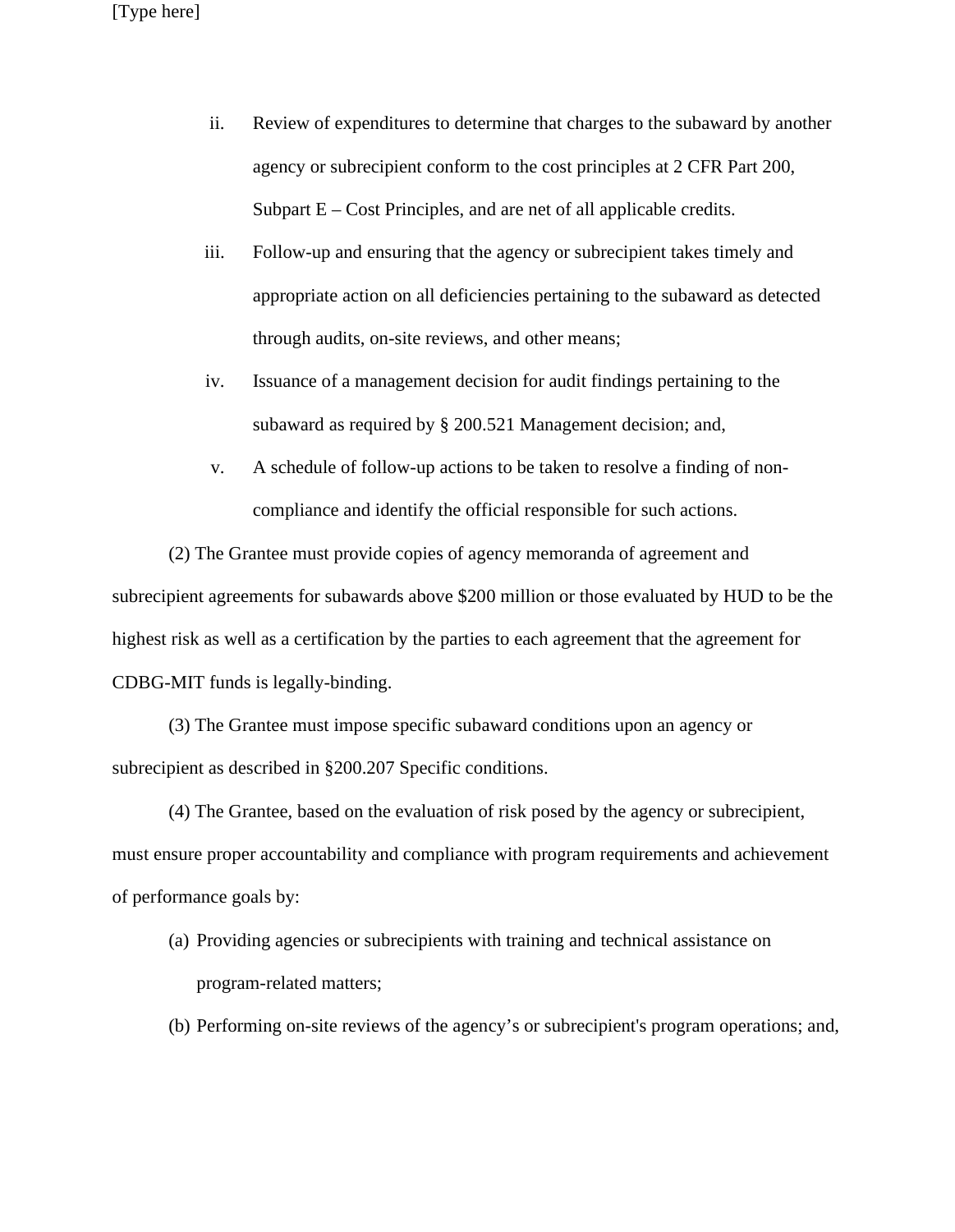- ii. Review of expenditures to determine that charges to the subaward by another agency or subrecipient conform to the cost principles at 2 CFR Part 200, Subpart  $E - Cost$  Principles, and are net of all applicable credits.
- iii. Follow-up and ensuring that the agency or subrecipient takes timely and appropriate action on all deficiencies pertaining to the subaward as detected through audits, on-site reviews, and other means;
- iv. Issuance of a management decision for audit findings pertaining to the subaward as required by § 200.521 Management decision; and,
- v. A schedule of follow-up actions to be taken to resolve a finding of noncompliance and identify the official responsible for such actions.

(2) The Grantee must provide copies of agency memoranda of agreement and subrecipient agreements for subawards above \$200 million or those evaluated by HUD to be the highest risk as well as a certification by the parties to each agreement that the agreement for CDBG-MIT funds is legally-binding.

(3) The Grantee must impose specific subaward conditions upon an agency or subrecipient as described in §200.207 Specific conditions.

(4) The Grantee, based on the evaluation of risk posed by the agency or subrecipient, must ensure proper accountability and compliance with program requirements and achievement of performance goals by:

- (a) Providing agencies or subrecipients with training and technical assistance on program-related matters;
- (b) Performing on-site reviews of the agency's or subrecipient's program operations; and,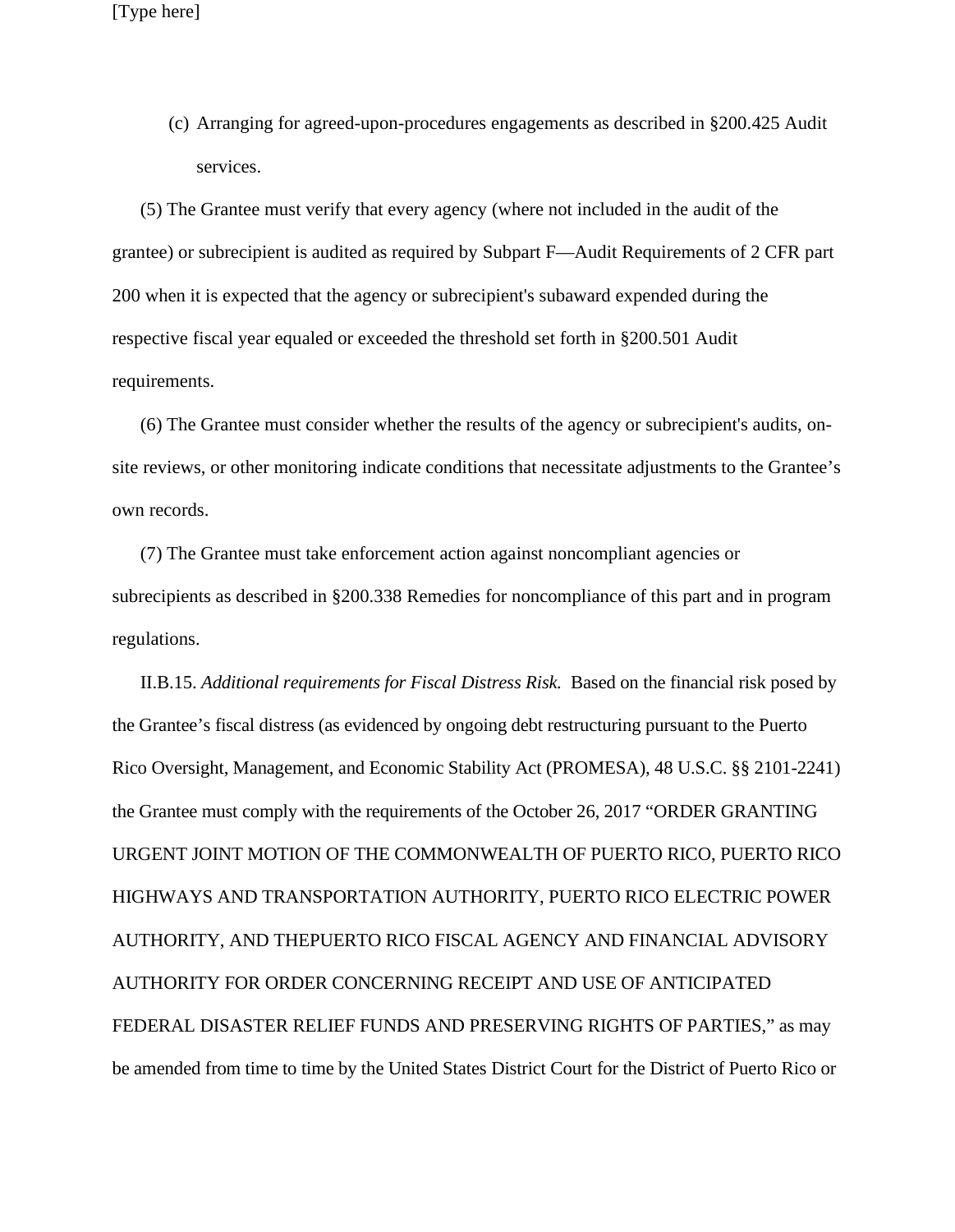(c) Arranging for agreed-upon-procedures engagements as described in §200.425 Audit services.

(5) The Grantee must verify that every agency (where not included in the audit of the grantee) or subrecipient is audited as required by Subpart F—Audit Requirements of 2 CFR part 200 when it is expected that the agency or subrecipient's subaward expended during the respective fiscal year equaled or exceeded the threshold set forth in §200.501 Audit requirements.

(6) The Grantee must consider whether the results of the agency or subrecipient's audits, onsite reviews, or other monitoring indicate conditions that necessitate adjustments to the Grantee's own records.

(7) The Grantee must take enforcement action against noncompliant agencies or subrecipients as described in §200.338 Remedies for noncompliance of this part and in program regulations.

II.B.15. *Additional requirements for Fiscal Distress Risk.* Based on the financial risk posed by the Grantee's fiscal distress (as evidenced by ongoing debt restructuring pursuant to the Puerto Rico Oversight, Management, and Economic Stability Act (PROMESA), 48 U.S.C. §§ 2101-2241) the Grantee must comply with the requirements of the October 26, 2017 "ORDER GRANTING URGENT JOINT MOTION OF THE COMMONWEALTH OF PUERTO RICO, PUERTO RICO HIGHWAYS AND TRANSPORTATION AUTHORITY, PUERTO RICO ELECTRIC POWER AUTHORITY, AND THEPUERTO RICO FISCAL AGENCY AND FINANCIAL ADVISORY AUTHORITY FOR ORDER CONCERNING RECEIPT AND USE OF ANTICIPATED FEDERAL DISASTER RELIEF FUNDS AND PRESERVING RIGHTS OF PARTIES," as may be amended from time to time by the United States District Court for the District of Puerto Rico or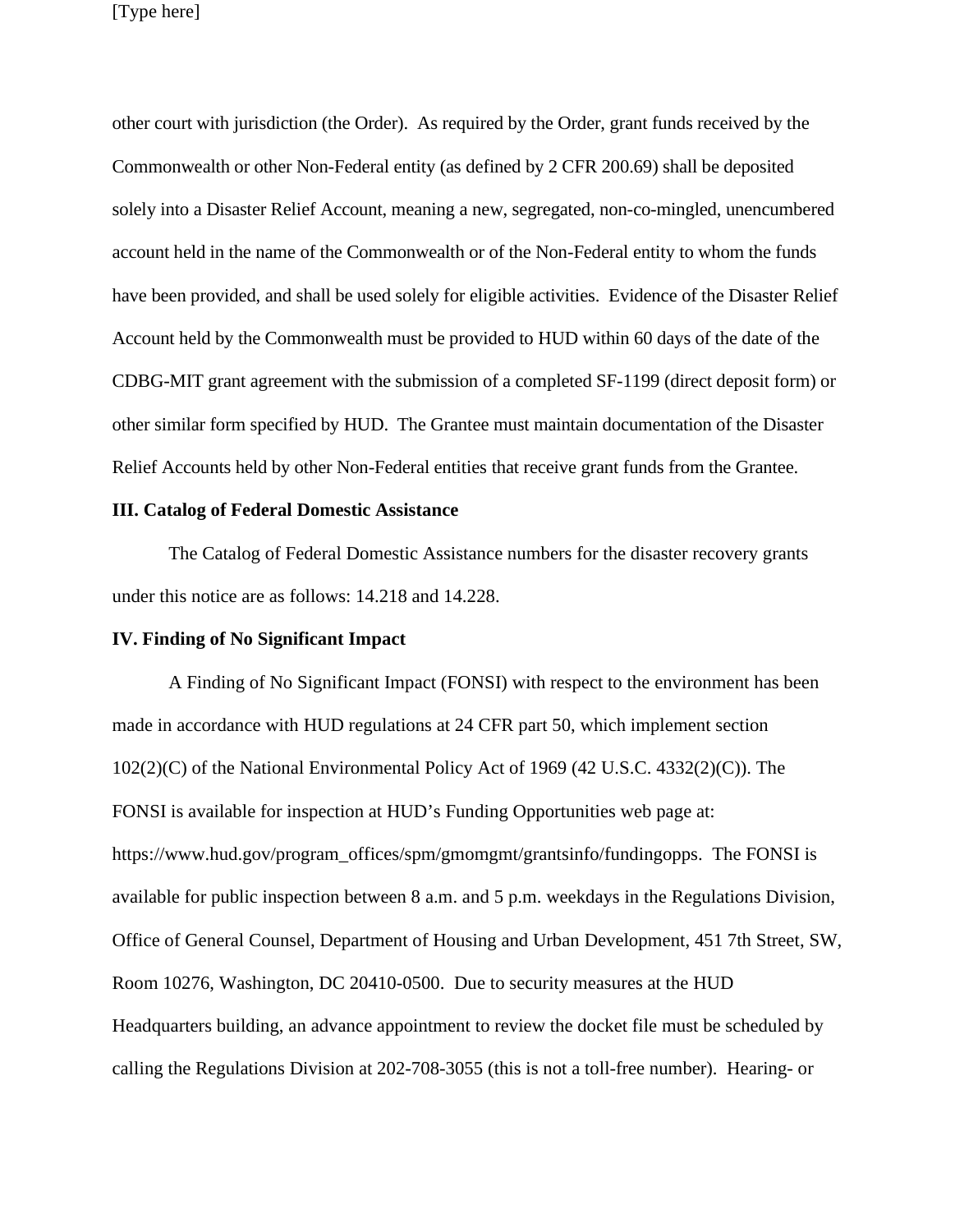other court with jurisdiction (the Order). As required by the Order, grant funds received by the Commonwealth or other Non-Federal entity (as defined by 2 CFR 200.69) shall be deposited solely into a Disaster Relief Account, meaning a new, segregated, non-co-mingled, unencumbered account held in the name of the Commonwealth or of the Non-Federal entity to whom the funds have been provided, and shall be used solely for eligible activities. Evidence of the Disaster Relief Account held by the Commonwealth must be provided to HUD within 60 days of the date of the CDBG-MIT grant agreement with the submission of a completed SF-1199 (direct deposit form) or other similar form specified by HUD. The Grantee must maintain documentation of the Disaster Relief Accounts held by other Non-Federal entities that receive grant funds from the Grantee.

#### **III. Catalog of Federal Domestic Assistance**

The Catalog of Federal Domestic Assistance numbers for the disaster recovery grants under this notice are as follows: 14.218 and 14.228.

#### **IV. Finding of No Significant Impact**

A Finding of No Significant Impact (FONSI) with respect to the environment has been made in accordance with HUD regulations at 24 CFR part 50, which implement section 102(2)(C) of the National Environmental Policy Act of 1969 (42 U.S.C. 4332(2)(C)). The FONSI is available for inspection at HUD's Funding Opportunities web page at: https://www.hud.gov/program\_offices/spm/gmomgmt/grantsinfo/fundingopps. The FONSI is available for public inspection between 8 a.m. and 5 p.m. weekdays in the Regulations Division, Office of General Counsel, Department of Housing and Urban Development, 451 7th Street, SW, Room 10276, Washington, DC 20410-0500. Due to security measures at the HUD Headquarters building, an advance appointment to review the docket file must be scheduled by calling the Regulations Division at 202-708-3055 (this is not a toll-free number). Hearing- or